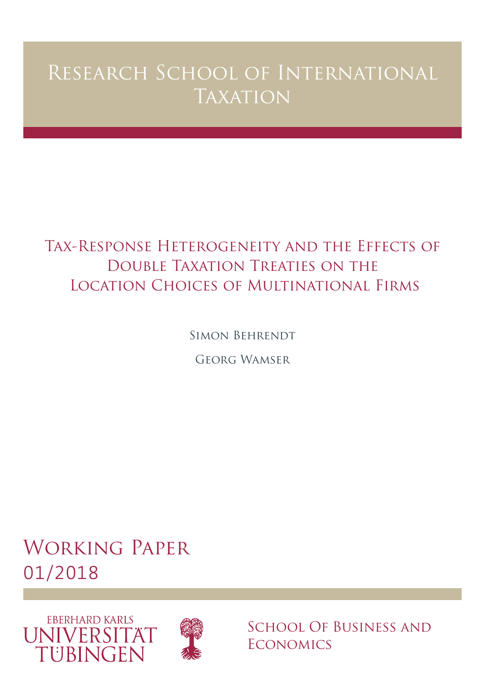# Research School of International **TAXATION**

# Tax-Response Heterogeneity and the Effects of Double Taxation Treaties on the Location Choices of Multinational Firms

Simon Behrendt

Georg Wamser

# Working Paper 01/2018





SCHOOL OF BUSINESS AND **ECONOMICS**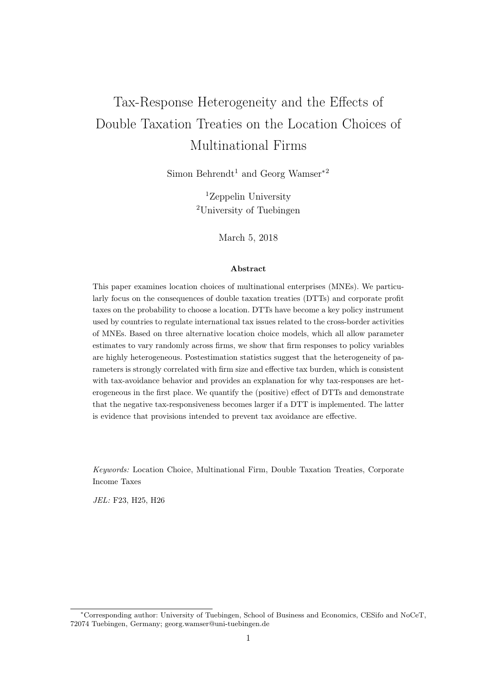# Tax-Response Heterogeneity and the Effects of Double Taxation Treaties on the Location Choices of Multinational Firms

Simon Behrendt<sup>1</sup> and Georg Wamser<sup>\*2</sup>

<sup>1</sup>Zeppelin University <sup>2</sup>University of Tuebingen

March 5, 2018

#### Abstract

This paper examines location choices of multinational enterprises (MNEs). We particularly focus on the consequences of double taxation treaties (DTTs) and corporate profit taxes on the probability to choose a location. DTTs have become a key policy instrument used by countries to regulate international tax issues related to the cross-border activities of MNEs. Based on three alternative location choice models, which all allow parameter estimates to vary randomly across firms, we show that firm responses to policy variables are highly heterogeneous. Postestimation statistics suggest that the heterogeneity of parameters is strongly correlated with firm size and effective tax burden, which is consistent with tax-avoidance behavior and provides an explanation for why tax-responses are heterogeneous in the first place. We quantify the (positive) effect of DTTs and demonstrate that the negative tax-responsiveness becomes larger if a DTT is implemented. The latter is evidence that provisions intended to prevent tax avoidance are effective.

Keywords: Location Choice, Multinational Firm, Double Taxation Treaties, Corporate Income Taxes

JEL: F23, H25, H26

<sup>∗</sup>Corresponding author: University of Tuebingen, School of Business and Economics, CESifo and NoCeT, 72074 Tuebingen, Germany; georg.wamser@uni-tuebingen.de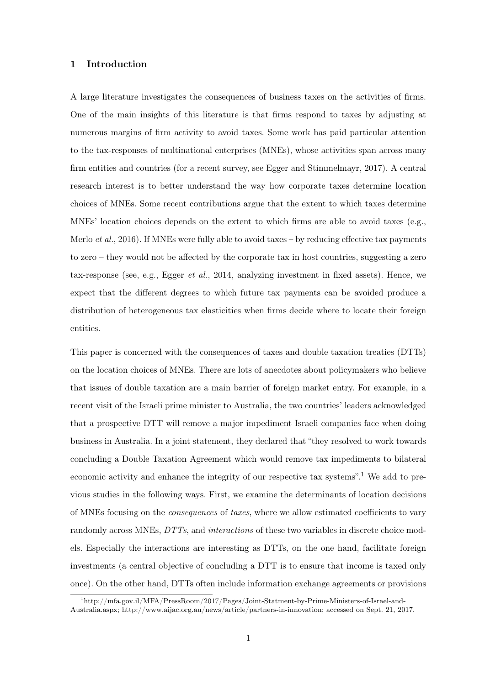# 1 Introduction

A large literature investigates the consequences of business taxes on the activities of firms. One of the main insights of this literature is that firms respond to taxes by adjusting at numerous margins of firm activity to avoid taxes. Some work has paid particular attention to the tax-responses of multinational enterprises (MNEs), whose activities span across many firm entities and countries (for a recent survey, see Egger and Stimmelmayr, 2017). A central research interest is to better understand the way how corporate taxes determine location choices of MNEs. Some recent contributions argue that the extent to which taxes determine MNEs' location choices depends on the extent to which firms are able to avoid taxes (e.g., Merlo *et al.*, 2016). If MNEs were fully able to avoid taxes – by reducing effective tax payments to zero – they would not be affected by the corporate tax in host countries, suggesting a zero tax-response (see, e.g., Egger et al., 2014, analyzing investment in fixed assets). Hence, we expect that the different degrees to which future tax payments can be avoided produce a distribution of heterogeneous tax elasticities when firms decide where to locate their foreign entities.

This paper is concerned with the consequences of taxes and double taxation treaties (DTTs) on the location choices of MNEs. There are lots of anecdotes about policymakers who believe that issues of double taxation are a main barrier of foreign market entry. For example, in a recent visit of the Israeli prime minister to Australia, the two countries' leaders acknowledged that a prospective DTT will remove a major impediment Israeli companies face when doing business in Australia. In a joint statement, they declared that "they resolved to work towards concluding a Double Taxation Agreement which would remove tax impediments to bilateral economic activity and enhance the integrity of our respective tax systems".<sup>1</sup> We add to previous studies in the following ways. First, we examine the determinants of location decisions of MNEs focusing on the consequences of taxes, where we allow estimated coefficients to vary randomly across MNEs, DTTs, and interactions of these two variables in discrete choice models. Especially the interactions are interesting as DTTs, on the one hand, facilitate foreign investments (a central objective of concluding a DTT is to ensure that income is taxed only once). On the other hand, DTTs often include information exchange agreements or provisions

<sup>1</sup>http://mfa.gov.il/MFA/PressRoom/2017/Pages/Joint-Statment-by-Prime-Ministers-of-Israel-and-

Australia.aspx; http://www.aijac.org.au/news/article/partners-in-innovation; accessed on Sept. 21, 2017.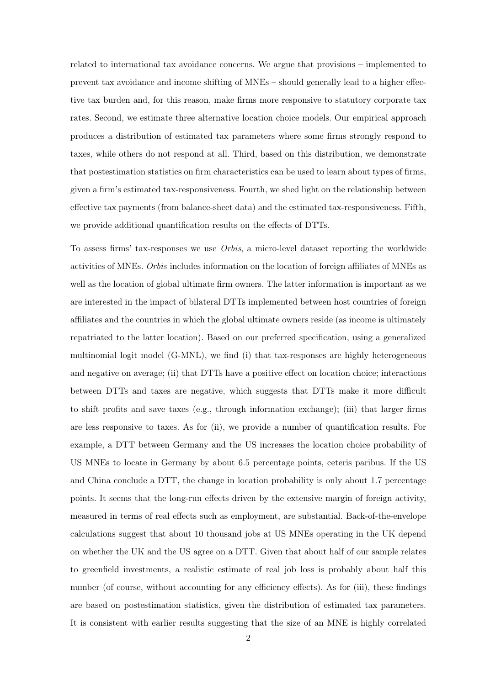related to international tax avoidance concerns. We argue that provisions – implemented to prevent tax avoidance and income shifting of MNEs – should generally lead to a higher effective tax burden and, for this reason, make firms more responsive to statutory corporate tax rates. Second, we estimate three alternative location choice models. Our empirical approach produces a distribution of estimated tax parameters where some firms strongly respond to taxes, while others do not respond at all. Third, based on this distribution, we demonstrate that postestimation statistics on firm characteristics can be used to learn about types of firms, given a firm's estimated tax-responsiveness. Fourth, we shed light on the relationship between effective tax payments (from balance-sheet data) and the estimated tax-responsiveness. Fifth, we provide additional quantification results on the effects of DTTs.

To assess firms' tax-responses we use Orbis, a micro-level dataset reporting the worldwide activities of MNEs. Orbis includes information on the location of foreign affiliates of MNEs as well as the location of global ultimate firm owners. The latter information is important as we are interested in the impact of bilateral DTTs implemented between host countries of foreign affiliates and the countries in which the global ultimate owners reside (as income is ultimately repatriated to the latter location). Based on our preferred specification, using a generalized multinomial logit model (G-MNL), we find (i) that tax-responses are highly heterogeneous and negative on average; (ii) that DTTs have a positive effect on location choice; interactions between DTTs and taxes are negative, which suggests that DTTs make it more difficult to shift profits and save taxes (e.g., through information exchange); (iii) that larger firms are less responsive to taxes. As for (ii), we provide a number of quantification results. For example, a DTT between Germany and the US increases the location choice probability of US MNEs to locate in Germany by about 6.5 percentage points, ceteris paribus. If the US and China conclude a DTT, the change in location probability is only about 1.7 percentage points. It seems that the long-run effects driven by the extensive margin of foreign activity, measured in terms of real effects such as employment, are substantial. Back-of-the-envelope calculations suggest that about 10 thousand jobs at US MNEs operating in the UK depend on whether the UK and the US agree on a DTT. Given that about half of our sample relates to greenfield investments, a realistic estimate of real job loss is probably about half this number (of course, without accounting for any efficiency effects). As for (iii), these findings are based on postestimation statistics, given the distribution of estimated tax parameters. It is consistent with earlier results suggesting that the size of an MNE is highly correlated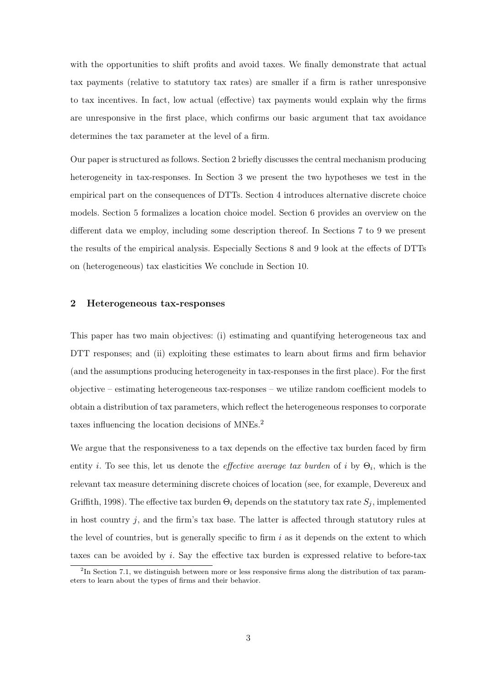with the opportunities to shift profits and avoid taxes. We finally demonstrate that actual tax payments (relative to statutory tax rates) are smaller if a firm is rather unresponsive to tax incentives. In fact, low actual (effective) tax payments would explain why the firms are unresponsive in the first place, which confirms our basic argument that tax avoidance determines the tax parameter at the level of a firm.

Our paper is structured as follows. Section 2 briefly discusses the central mechanism producing heterogeneity in tax-responses. In Section 3 we present the two hypotheses we test in the empirical part on the consequences of DTTs. Section 4 introduces alternative discrete choice models. Section 5 formalizes a location choice model. Section 6 provides an overview on the different data we employ, including some description thereof. In Sections 7 to 9 we present the results of the empirical analysis. Especially Sections 8 and 9 look at the effects of DTTs on (heterogeneous) tax elasticities We conclude in Section 10.

#### 2 Heterogeneous tax-responses

This paper has two main objectives: (i) estimating and quantifying heterogeneous tax and DTT responses; and (ii) exploiting these estimates to learn about firms and firm behavior (and the assumptions producing heterogeneity in tax-responses in the first place). For the first objective – estimating heterogeneous tax-responses – we utilize random coefficient models to obtain a distribution of tax parameters, which reflect the heterogeneous responses to corporate taxes influencing the location decisions of MNEs.<sup>2</sup>

We argue that the responsiveness to a tax depends on the effective tax burden faced by firm entity *i*. To see this, let us denote the *effective average tax burden* of *i* by  $\Theta_i$ , which is the relevant tax measure determining discrete choices of location (see, for example, Devereux and Griffith, 1998). The effective tax burden  $\Theta_i$  depends on the statutory tax rate  $S_i$ , implemented in host country  $j$ , and the firm's tax base. The latter is affected through statutory rules at the level of countries, but is generally specific to firm  $i$  as it depends on the extent to which taxes can be avoided by i. Say the effective tax burden is expressed relative to before-tax

<sup>&</sup>lt;sup>2</sup>In Section 7.1, we distinguish between more or less responsive firms along the distribution of tax parameters to learn about the types of firms and their behavior.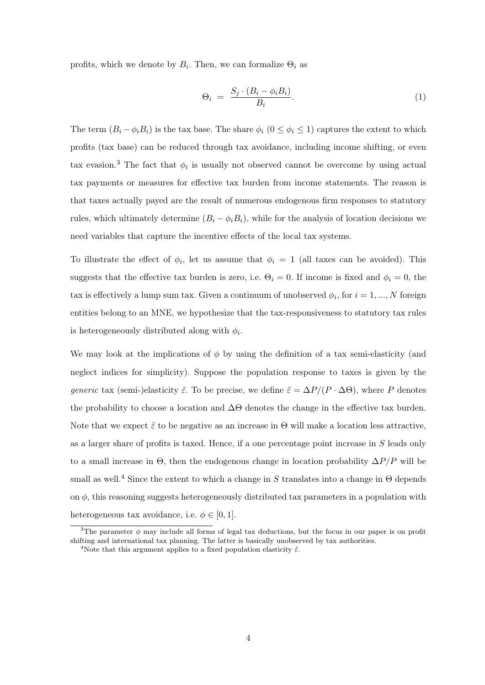profits, which we denote by  $B_i$ . Then, we can formalize  $\Theta_i$  as

$$
\Theta_i = \frac{S_j \cdot (B_i - \phi_i B_i)}{B_i}.
$$
\n(1)

The term  $(B_i - \phi_i B_i)$  is the tax base. The share  $\phi_i$   $(0 \le \phi_i \le 1)$  captures the extent to which profits (tax base) can be reduced through tax avoidance, including income shifting, or even tax evasion.<sup>3</sup> The fact that  $\phi_i$  is usually not observed cannot be overcome by using actual tax payments or measures for effective tax burden from income statements. The reason is that taxes actually payed are the result of numerous endogenous firm responses to statutory rules, which ultimately determine  $(B_i - \phi_i B_i)$ , while for the analysis of location decisions we need variables that capture the incentive effects of the local tax systems.

To illustrate the effect of  $\phi_i$ , let us assume that  $\phi_i = 1$  (all taxes can be avoided). This suggests that the effective tax burden is zero, i.e.  $\Theta_i = 0$ . If income is fixed and  $\phi_i = 0$ , the tax is effectively a lump sum tax. Given a continuum of unobserved  $\phi_i$ , for  $i = 1, ..., N$  foreign entities belong to an MNE, we hypothesize that the tax-responsiveness to statutory tax rules is heterogeneously distributed along with  $\phi_i$ .

We may look at the implications of  $\phi$  by using the definition of a tax semi-elasticity (and neglect indices for simplicity). Suppose the population response to taxes is given by the generic tax (semi-)elasticity  $\tilde{\varepsilon}$ . To be precise, we define  $\tilde{\varepsilon} = \Delta P/(P \cdot \Delta \Theta)$ , where P denotes the probability to choose a location and  $\Delta\Theta$  denotes the change in the effective tax burden. Note that we expect  $\tilde{\varepsilon}$  to be negative as an increase in  $\Theta$  will make a location less attractive, as a larger share of profits is taxed. Hence, if a one percentage point increase in S leads only to a small increase in  $\Theta$ , then the endogenous change in location probability  $\Delta P/P$  will be small as well.<sup>4</sup> Since the extent to which a change in S translates into a change in  $\Theta$  depends on  $\phi$ , this reasoning suggests heterogeneously distributed tax parameters in a population with heterogeneous tax avoidance, i.e.  $\phi \in [0, 1]$ .

<sup>&</sup>lt;sup>3</sup>The parameter  $\phi$  may include all forms of legal tax deductions, but the focus in our paper is on profit shifting and international tax planning. The latter is basically unobserved by tax authorities.

<sup>&</sup>lt;sup>4</sup>Note that this argument applies to a fixed population elasticity  $\tilde{\varepsilon}$ .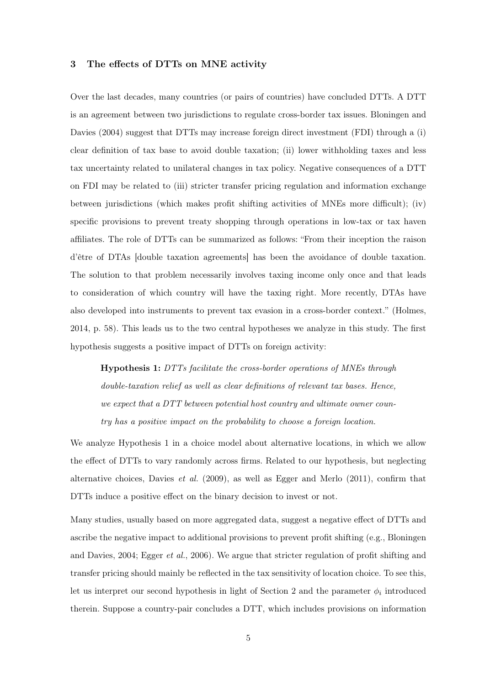#### 3 The effects of DTTs on MNE activity

Over the last decades, many countries (or pairs of countries) have concluded DTTs. A DTT is an agreement between two jurisdictions to regulate cross-border tax issues. Bloningen and Davies (2004) suggest that DTTs may increase foreign direct investment (FDI) through a (i) clear definition of tax base to avoid double taxation; (ii) lower withholding taxes and less tax uncertainty related to unilateral changes in tax policy. Negative consequences of a DTT on FDI may be related to (iii) stricter transfer pricing regulation and information exchange between jurisdictions (which makes profit shifting activities of MNEs more difficult); (iv) specific provisions to prevent treaty shopping through operations in low-tax or tax haven affiliates. The role of DTTs can be summarized as follows: "From their inception the raison d'être of DTAs [double taxation agreements] has been the avoidance of double taxation. The solution to that problem necessarily involves taxing income only once and that leads to consideration of which country will have the taxing right. More recently, DTAs have also developed into instruments to prevent tax evasion in a cross-border context." (Holmes, 2014, p. 58). This leads us to the two central hypotheses we analyze in this study. The first hypothesis suggests a positive impact of DTTs on foreign activity:

Hypothesis 1: DTTs facilitate the cross-border operations of MNEs through double-taxation relief as well as clear definitions of relevant tax bases. Hence, we expect that a DTT between potential host country and ultimate owner country has a positive impact on the probability to choose a foreign location.

We analyze Hypothesis 1 in a choice model about alternative locations, in which we allow the effect of DTTs to vary randomly across firms. Related to our hypothesis, but neglecting alternative choices, Davies *et al.* (2009), as well as Egger and Merlo (2011), confirm that DTTs induce a positive effect on the binary decision to invest or not.

Many studies, usually based on more aggregated data, suggest a negative effect of DTTs and ascribe the negative impact to additional provisions to prevent profit shifting (e.g., Bloningen and Davies, 2004; Egger et al., 2006). We argue that stricter regulation of profit shifting and transfer pricing should mainly be reflected in the tax sensitivity of location choice. To see this, let us interpret our second hypothesis in light of Section 2 and the parameter  $\phi_i$  introduced therein. Suppose a country-pair concludes a DTT, which includes provisions on information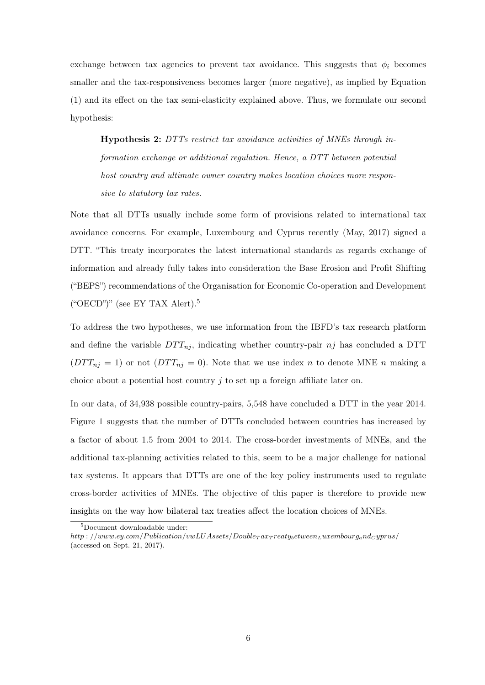exchange between tax agencies to prevent tax avoidance. This suggests that  $\phi_i$  becomes smaller and the tax-responsiveness becomes larger (more negative), as implied by Equation (1) and its effect on the tax semi-elasticity explained above. Thus, we formulate our second hypothesis:

Hypothesis 2: DTTs restrict tax avoidance activities of MNEs through information exchange or additional regulation. Hence, a DTT between potential host country and ultimate owner country makes location choices more responsive to statutory tax rates.

Note that all DTTs usually include some form of provisions related to international tax avoidance concerns. For example, Luxembourg and Cyprus recently (May, 2017) signed a DTT. "This treaty incorporates the latest international standards as regards exchange of information and already fully takes into consideration the Base Erosion and Profit Shifting ("BEPS") recommendations of the Organisation for Economic Co-operation and Development ("OECD")" (see EY TAX Alert).<sup>5</sup>

To address the two hypotheses, we use information from the IBFD's tax research platform and define the variable  $DTT_{ni}$ , indicating whether country-pair nj has concluded a DTT  $(DTT_{nj} = 1)$  or not  $(DTT_{nj} = 0)$ . Note that we use index n to denote MNE n making a choice about a potential host country  $\dot{\gamma}$  to set up a foreign affiliate later on.

In our data, of 34,938 possible country-pairs, 5,548 have concluded a DTT in the year 2014. Figure 1 suggests that the number of DTTs concluded between countries has increased by a factor of about 1.5 from 2004 to 2014. The cross-border investments of MNEs, and the additional tax-planning activities related to this, seem to be a major challenge for national tax systems. It appears that DTTs are one of the key policy instruments used to regulate cross-border activities of MNEs. The objective of this paper is therefore to provide new insights on the way how bilateral tax treaties affect the location choices of MNEs.

<sup>5</sup>Document downloadable under:

http : //www.ey.com/Publication/vwLUAssets/Double $_{\textit{T}}$ ax $_{\textit{T}}$ reaty<sub>b</sub>etweenLuxembourg<sub>a</sub>nd<sub>C</sub> yprus/ (accessed on Sept. 21, 2017).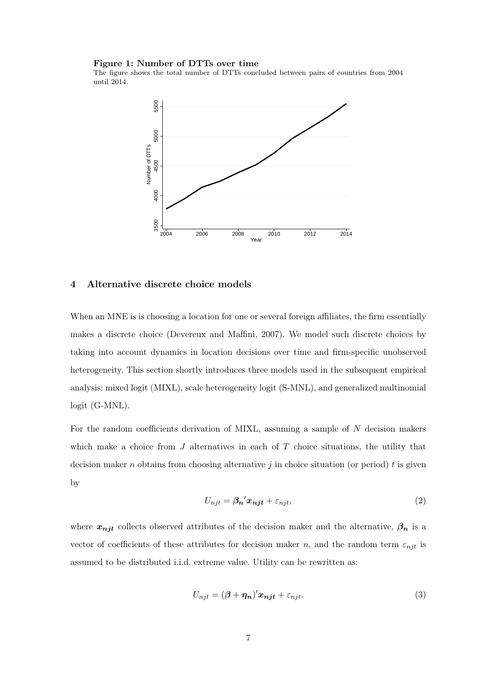#### Figure 1: Number of DTTs over time

The figure shows the total number of DTTs concluded between pairs of countries from 2004 until 2014.



### 4 Alternative discrete choice models

When an MNE is is choosing a location for one or several foreign affiliates, the firm essentially makes a discrete choice (Devereux and Maffini, 2007). We model such discrete choices by taking into account dynamics in location decisions over time and firm-specific unobserved heterogeneity. This section shortly introduces three models used in the subsequent empirical analysis: mixed logit (MIXL), scale heterogeneity logit (S-MNL), and generalized multinomial logit (G-MNL).

For the random coefficients derivation of MIXL, assuming a sample of N decision makers which make a choice from  $J$  alternatives in each of  $T$  choice situations, the utility that decision maker n obtains from choosing alternative j in choice situation (or period) t is given by

$$
U_{njt} = \beta_n' x_{njt} + \varepsilon_{njt},\tag{2}
$$

where  $x_{njt}$  collects observed attributes of the decision maker and the alternative,  $\beta_n$  is a vector of coefficients of these attributes for decision maker n, and the random term  $\varepsilon_{njt}$  is assumed to be distributed i.i.d. extreme value. Utility can be rewritten as:

$$
U_{njt} = (\beta + \eta_n)' x_{njt} + \varepsilon_{njt}.
$$
\n(3)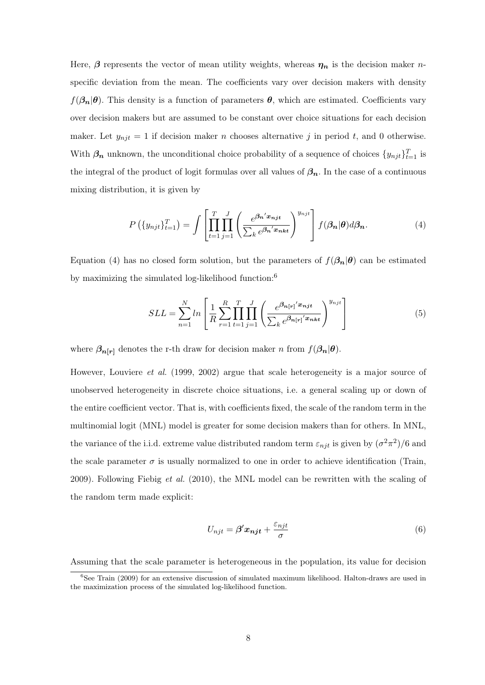Here,  $\beta$  represents the vector of mean utility weights, whereas  $\eta_n$  is the decision maker *n*specific deviation from the mean. The coefficients vary over decision makers with density  $f(\beta_n|\theta)$ . This density is a function of parameters  $\theta$ , which are estimated. Coefficients vary over decision makers but are assumed to be constant over choice situations for each decision maker. Let  $y_{njt} = 1$  if decision maker n chooses alternative j in period t, and 0 otherwise. With  $\beta_n$  unknown, the unconditional choice probability of a sequence of choices  $\{y_{njt}\}_{t=1}^T$  is the integral of the product of logit formulas over all values of  $\beta_n$ . In the case of a continuous mixing distribution, it is given by

$$
P\left(\{y_{njt}\}_{t=1}^T\right) = \int \left[\prod_{t=1}^T \prod_{j=1}^J \left(\frac{e^{\beta_n' x_{njt}}}{\sum_k e^{\beta_n' x_{nkt}}}\right)^{y_{njt}}\right] f(\beta_n | \theta) d\beta_n.
$$
 (4)

Equation (4) has no closed form solution, but the parameters of  $f(\beta_n|\theta)$  can be estimated by maximizing the simulated log-likelihood function:<sup>6</sup>

$$
SLL = \sum_{n=1}^{N} \ln \left[ \frac{1}{R} \sum_{r=1}^{R} \prod_{t=1}^{T} \prod_{j=1}^{J} \left( \frac{e^{\beta_{n[r]}' x_{njt}}}{\sum_{k} e^{\beta_{n[r]}' x_{nkt}}} \right)^{y_{njt}} \right]
$$
(5)

where  $\beta_{n[r]}$  denotes the r-th draw for decision maker n from  $f(\beta_n|\theta)$ .

However, Louviere et al. (1999, 2002) argue that scale heterogeneity is a major source of unobserved heterogeneity in discrete choice situations, i.e. a general scaling up or down of the entire coefficient vector. That is, with coefficients fixed, the scale of the random term in the multinomial logit (MNL) model is greater for some decision makers than for others. In MNL, the variance of the i.i.d. extreme value distributed random term  $\varepsilon_{njt}$  is given by  $(\sigma^2 \pi^2)/6$  and the scale parameter  $\sigma$  is usually normalized to one in order to achieve identification (Train, 2009). Following Fiebig et al. (2010), the MNL model can be rewritten with the scaling of the random term made explicit:

$$
U_{njt} = \beta' x_{njt} + \frac{\varepsilon_{njt}}{\sigma} \tag{6}
$$

Assuming that the scale parameter is heterogeneous in the population, its value for decision

 $6$ See Train (2009) for an extensive discussion of simulated maximum likelihood. Halton-draws are used in the maximization process of the simulated log-likelihood function.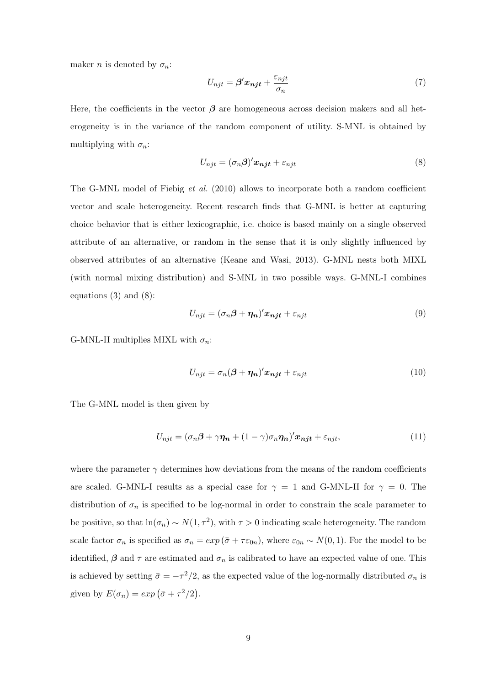maker *n* is denoted by  $\sigma_n$ :

$$
U_{njt} = \beta' x_{njt} + \frac{\varepsilon_{njt}}{\sigma_n} \tag{7}
$$

Here, the coefficients in the vector  $\beta$  are homogeneous across decision makers and all heterogeneity is in the variance of the random component of utility. S-MNL is obtained by multiplying with  $\sigma_n$ :

$$
U_{njt} = (\sigma_n \beta)' \mathbf{x_{njt}} + \varepsilon_{njt} \tag{8}
$$

The G-MNL model of Fiebig et al. (2010) allows to incorporate both a random coefficient vector and scale heterogeneity. Recent research finds that G-MNL is better at capturing choice behavior that is either lexicographic, i.e. choice is based mainly on a single observed attribute of an alternative, or random in the sense that it is only slightly influenced by observed attributes of an alternative (Keane and Wasi, 2013). G-MNL nests both MIXL (with normal mixing distribution) and S-MNL in two possible ways. G-MNL-I combines equations (3) and (8):

$$
U_{njt} = (\sigma_n \beta + \eta_n)' x_{njt} + \varepsilon_{njt}
$$
\n(9)

G-MNL-II multiplies MIXL with  $\sigma_n$ :

$$
U_{njt} = \sigma_n(\beta + \eta_n)'x_{njt} + \varepsilon_{njt}
$$
\n(10)

The G-MNL model is then given by

$$
U_{njt} = (\sigma_n \beta + \gamma \eta_n + (1 - \gamma)\sigma_n \eta_n)' x_{njt} + \varepsilon_{njt},
$$
\n(11)

where the parameter  $\gamma$  determines how deviations from the means of the random coefficients are scaled. G-MNL-I results as a special case for  $\gamma = 1$  and G-MNL-II for  $\gamma = 0$ . The distribution of  $\sigma_n$  is specified to be log-normal in order to constrain the scale parameter to be positive, so that  $\ln(\sigma_n) \sim N(1, \tau^2)$ , with  $\tau > 0$  indicating scale heterogeneity. The random scale factor  $\sigma_n$  is specified as  $\sigma_n = exp(\bar{\sigma} + \tau \varepsilon_{0n})$ , where  $\varepsilon_{0n} \sim N(0, 1)$ . For the model to be identified,  $\beta$  and  $\tau$  are estimated and  $\sigma_n$  is calibrated to have an expected value of one. This is achieved by setting  $\bar{\sigma} = -\tau^2/2$ , as the expected value of the log-normally distributed  $\sigma_n$  is given by  $E(\sigma_n) = exp(\bar{\sigma} + \tau^2/2)$ .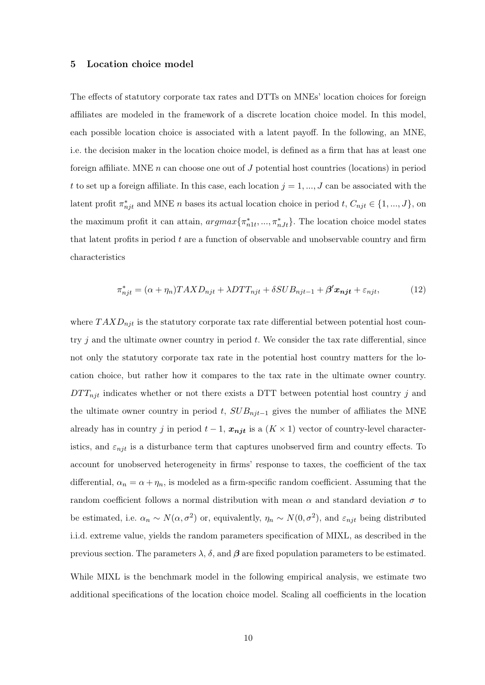#### 5 Location choice model

The effects of statutory corporate tax rates and DTTs on MNEs' location choices for foreign affiliates are modeled in the framework of a discrete location choice model. In this model, each possible location choice is associated with a latent payoff. In the following, an MNE, i.e. the decision maker in the location choice model, is defined as a firm that has at least one foreign affiliate. MNE  $n$  can choose one out of  $J$  potential host countries (locations) in period t to set up a foreign affiliate. In this case, each location  $j = 1, ..., J$  can be associated with the latent profit  $\pi_{njt}^*$  and MNE n bases its actual location choice in period  $t, C_{njt} \in \{1, ..., J\}$ , on the maximum profit it can attain,  $argmax{\pi_{n1t}^*, ..., \pi_{nJt}^*}$ . The location choice model states that latent profits in period  $t$  are a function of observable and unobservable country and firm characteristics

$$
\pi_{njt}^* = (\alpha + \eta_n) TAXD_{njt} + \lambda DTT_{njt} + \delta SUB_{njt-1} + \beta' \mathbf{x_{njt}} + \varepsilon_{njt},\tag{12}
$$

where  $T A X D_{njt}$  is the statutory corporate tax rate differential between potential host country  $j$  and the ultimate owner country in period  $t$ . We consider the tax rate differential, since not only the statutory corporate tax rate in the potential host country matters for the location choice, but rather how it compares to the tax rate in the ultimate owner country.  $DTT_{njt}$  indicates whether or not there exists a DTT between potential host country j and the ultimate owner country in period t,  $SUB_{njt-1}$  gives the number of affiliates the MNE already has in country j in period  $t - 1$ ,  $x_{njt}$  is a  $(K \times 1)$  vector of country-level characteristics, and  $\varepsilon_{njt}$  is a disturbance term that captures unobserved firm and country effects. To account for unobserved heterogeneity in firms' response to taxes, the coefficient of the tax differential,  $\alpha_n = \alpha + \eta_n$ , is modeled as a firm-specific random coefficient. Assuming that the random coefficient follows a normal distribution with mean  $\alpha$  and standard deviation  $\sigma$  to be estimated, i.e.  $\alpha_n \sim N(\alpha, \sigma^2)$  or, equivalently,  $\eta_n \sim N(0, \sigma^2)$ , and  $\varepsilon_{njt}$  being distributed i.i.d. extreme value, yields the random parameters specification of MIXL, as described in the previous section. The parameters λ, δ, and β are fixed population parameters to be estimated.

While MIXL is the benchmark model in the following empirical analysis, we estimate two additional specifications of the location choice model. Scaling all coefficients in the location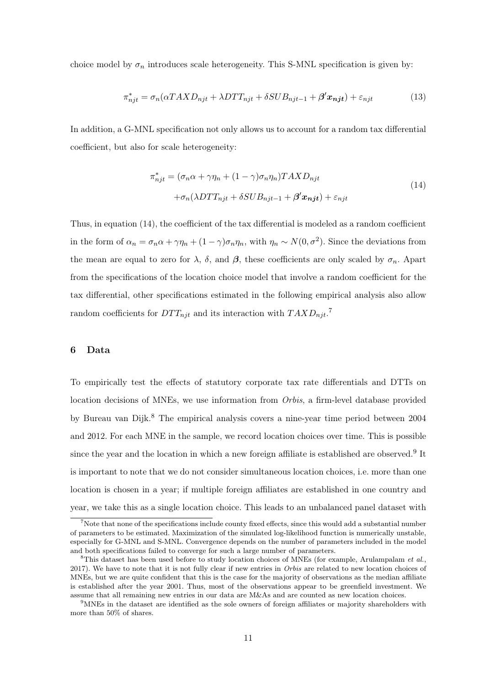choice model by  $\sigma_n$  introduces scale heterogeneity. This S-MNL specification is given by:

$$
\pi_{njt}^* = \sigma_n(\alpha TAXD_{njt} + \lambda DTT_{njt} + \delta SUB_{njt-1} + \beta' \mathbf{x_{njt}}) + \varepsilon_{njt} \tag{13}
$$

In addition, a G-MNL specification not only allows us to account for a random tax differential coefficient, but also for scale heterogeneity:

$$
\pi_{njt}^* = (\sigma_n \alpha + \gamma \eta_n + (1 - \gamma) \sigma_n \eta_n) TAX D_{njt}
$$
  
+ 
$$
\sigma_n (\lambda DTT_{njt} + \delta SUB_{njt-1} + \beta' \mathbf{x_{njt}}) + \varepsilon_{njt}
$$
 (14)

Thus, in equation (14), the coefficient of the tax differential is modeled as a random coefficient in the form of  $\alpha_n = \sigma_n \alpha + \gamma \eta_n + (1 - \gamma) \sigma_n \eta_n$ , with  $\eta_n \sim N(0, \sigma^2)$ . Since the deviations from the mean are equal to zero for  $\lambda$ ,  $\delta$ , and  $\beta$ , these coefficients are only scaled by  $\sigma_n$ . Apart from the specifications of the location choice model that involve a random coefficient for the tax differential, other specifications estimated in the following empirical analysis also allow random coefficients for  $DTT_{njt}$  and its interaction with  $TAXD_{njt}$ .<sup>7</sup>

#### 6 Data

To empirically test the effects of statutory corporate tax rate differentials and DTTs on location decisions of MNEs, we use information from Orbis, a firm-level database provided by Bureau van Dijk.<sup>8</sup> The empirical analysis covers a nine-year time period between 2004 and 2012. For each MNE in the sample, we record location choices over time. This is possible since the year and the location in which a new foreign affiliate is established are observed.<sup>9</sup> It is important to note that we do not consider simultaneous location choices, i.e. more than one location is chosen in a year; if multiple foreign affiliates are established in one country and year, we take this as a single location choice. This leads to an unbalanced panel dataset with

<sup>&</sup>lt;sup>7</sup>Note that none of the specifications include county fixed effects, since this would add a substantial number of parameters to be estimated. Maximization of the simulated log-likelihood function is numerically unstable, especially for G-MNL and S-MNL. Convergence depends on the number of parameters included in the model and both specifications failed to converge for such a large number of parameters.

<sup>&</sup>lt;sup>8</sup>This dataset has been used before to study location choices of MNEs (for example, Arulampalam *et al.*, 2017). We have to note that it is not fully clear if new entries in *Orbis* are related to new location choices of MNEs, but we are quite confident that this is the case for the majority of observations as the median affiliate is established after the year 2001. Thus, most of the observations appear to be greenfield investment. We assume that all remaining new entries in our data are M&As and are counted as new location choices.

<sup>9</sup>MNEs in the dataset are identified as the sole owners of foreign affiliates or majority shareholders with more than 50% of shares.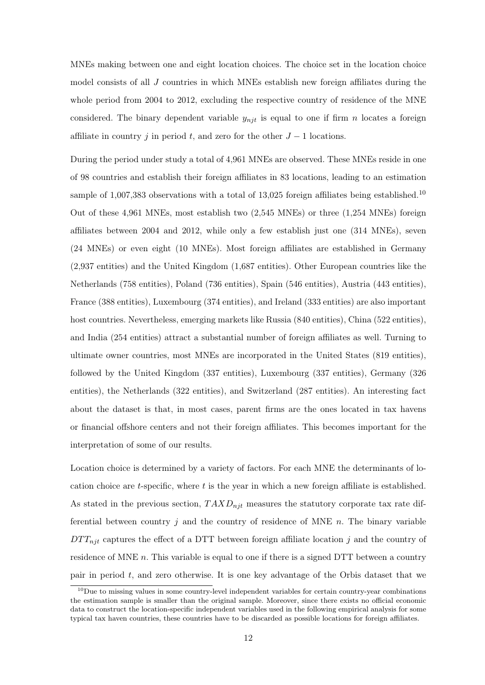MNEs making between one and eight location choices. The choice set in the location choice model consists of all J countries in which MNEs establish new foreign affiliates during the whole period from 2004 to 2012, excluding the respective country of residence of the MNE considered. The binary dependent variable  $y_{njt}$  is equal to one if firm n locates a foreign affiliate in country j in period t, and zero for the other  $J-1$  locations.

During the period under study a total of 4,961 MNEs are observed. These MNEs reside in one of 98 countries and establish their foreign affiliates in 83 locations, leading to an estimation sample of 1,007,383 observations with a total of 13,025 foreign affiliates being established.<sup>10</sup> Out of these 4,961 MNEs, most establish two (2,545 MNEs) or three (1,254 MNEs) foreign affiliates between 2004 and 2012, while only a few establish just one (314 MNEs), seven (24 MNEs) or even eight (10 MNEs). Most foreign affiliates are established in Germany (2,937 entities) and the United Kingdom (1,687 entities). Other European countries like the Netherlands (758 entities), Poland (736 entities), Spain (546 entities), Austria (443 entities), France (388 entities), Luxembourg (374 entities), and Ireland (333 entities) are also important host countries. Nevertheless, emerging markets like Russia (840 entities), China (522 entities), and India (254 entities) attract a substantial number of foreign affiliates as well. Turning to ultimate owner countries, most MNEs are incorporated in the United States (819 entities), followed by the United Kingdom (337 entities), Luxembourg (337 entities), Germany (326 entities), the Netherlands (322 entities), and Switzerland (287 entities). An interesting fact about the dataset is that, in most cases, parent firms are the ones located in tax havens or financial offshore centers and not their foreign affiliates. This becomes important for the interpretation of some of our results.

Location choice is determined by a variety of factors. For each MNE the determinants of location choice are t-specific, where t is the year in which a new foreign affiliate is established. As stated in the previous section,  $T A X D_{njt}$  measures the statutory corporate tax rate differential between country  $j$  and the country of residence of MNE  $n$ . The binary variable  $DTT_{nit}$  captures the effect of a DTT between foreign affiliate location j and the country of residence of MNE  $n$ . This variable is equal to one if there is a signed DTT between a country pair in period  $t$ , and zero otherwise. It is one key advantage of the Orbis dataset that we

 $10$ Due to missing values in some country-level independent variables for certain country-year combinations the estimation sample is smaller than the original sample. Moreover, since there exists no official economic data to construct the location-specific independent variables used in the following empirical analysis for some typical tax haven countries, these countries have to be discarded as possible locations for foreign affiliates.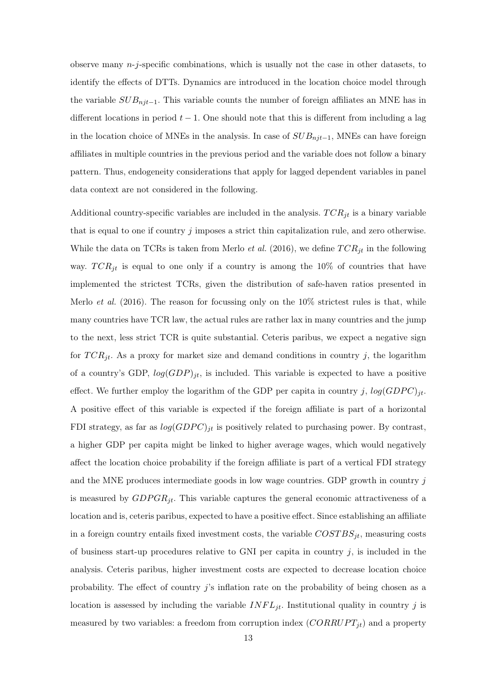observe many  $n-j$ -specific combinations, which is usually not the case in other datasets, to identify the effects of DTTs. Dynamics are introduced in the location choice model through the variable  $SUB_{njt-1}$ . This variable counts the number of foreign affiliates an MNE has in different locations in period  $t - 1$ . One should note that this is different from including a lag in the location choice of MNEs in the analysis. In case of  $SUB_{njt-1}$ , MNEs can have foreign affiliates in multiple countries in the previous period and the variable does not follow a binary pattern. Thus, endogeneity considerations that apply for lagged dependent variables in panel data context are not considered in the following.

Additional country-specific variables are included in the analysis.  $TCR_{jt}$  is a binary variable that is equal to one if country  $j$  imposes a strict thin capitalization rule, and zero otherwise. While the data on TCRs is taken from Merlo *et al.* (2016), we define  $TCR_{jt}$  in the following way.  $TCR_{jt}$  is equal to one only if a country is among the 10% of countries that have implemented the strictest TCRs, given the distribution of safe-haven ratios presented in Merlo *et al.* (2016). The reason for focussing only on the  $10\%$  strictest rules is that, while many countries have TCR law, the actual rules are rather lax in many countries and the jump to the next, less strict TCR is quite substantial. Ceteris paribus, we expect a negative sign for  $TCR_{it}$ . As a proxy for market size and demand conditions in country j, the logarithm of a country's GDP,  $log(GDP)_{jt}$ , is included. This variable is expected to have a positive effect. We further employ the logarithm of the GDP per capita in country j,  $log(GDPC)_{jt}$ . A positive effect of this variable is expected if the foreign affiliate is part of a horizontal FDI strategy, as far as  $log(GDPC)_{jt}$  is positively related to purchasing power. By contrast, a higher GDP per capita might be linked to higher average wages, which would negatively affect the location choice probability if the foreign affiliate is part of a vertical FDI strategy and the MNE produces intermediate goods in low wage countries. GDP growth in country  $j$ is measured by  $GDPGR_{it}$ . This variable captures the general economic attractiveness of a location and is, ceteris paribus, expected to have a positive effect. Since establishing an affiliate in a foreign country entails fixed investment costs, the variable  $COSTBS_{jt}$ , measuring costs of business start-up procedures relative to GNI per capita in country  $j$ , is included in the analysis. Ceteris paribus, higher investment costs are expected to decrease location choice probability. The effect of country  $j$ 's inflation rate on the probability of being chosen as a location is assessed by including the variable  $INFL_{jt}$ . Institutional quality in country j is measured by two variables: a freedom from corruption index  $(CORRUPT_{it})$  and a property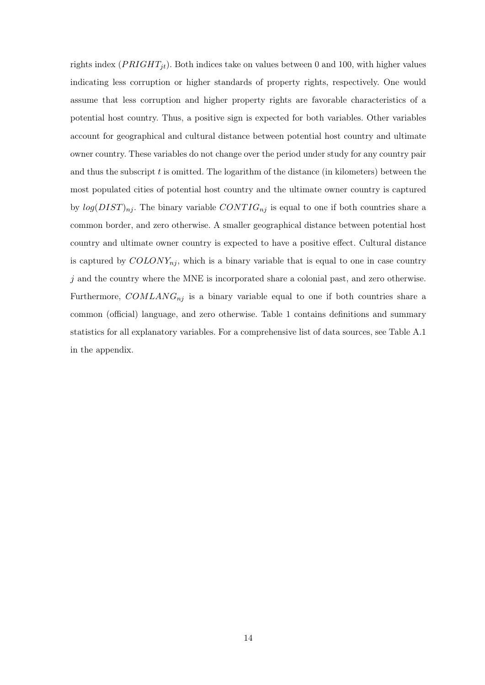rights index  $(PRIGHT_{it})$ . Both indices take on values between 0 and 100, with higher values indicating less corruption or higher standards of property rights, respectively. One would assume that less corruption and higher property rights are favorable characteristics of a potential host country. Thus, a positive sign is expected for both variables. Other variables account for geographical and cultural distance between potential host country and ultimate owner country. These variables do not change over the period under study for any country pair and thus the subscript  $t$  is omitted. The logarithm of the distance (in kilometers) between the most populated cities of potential host country and the ultimate owner country is captured by  $log(DIST)_{nj}$ . The binary variable  $CONTIG_{nj}$  is equal to one if both countries share a common border, and zero otherwise. A smaller geographical distance between potential host country and ultimate owner country is expected to have a positive effect. Cultural distance is captured by  $COLONY_{nj}$ , which is a binary variable that is equal to one in case country  $j$  and the country where the MNE is incorporated share a colonial past, and zero otherwise. Furthermore,  $COMLANG_{nj}$  is a binary variable equal to one if both countries share a common (official) language, and zero otherwise. Table 1 contains definitions and summary statistics for all explanatory variables. For a comprehensive list of data sources, see Table A.1 in the appendix.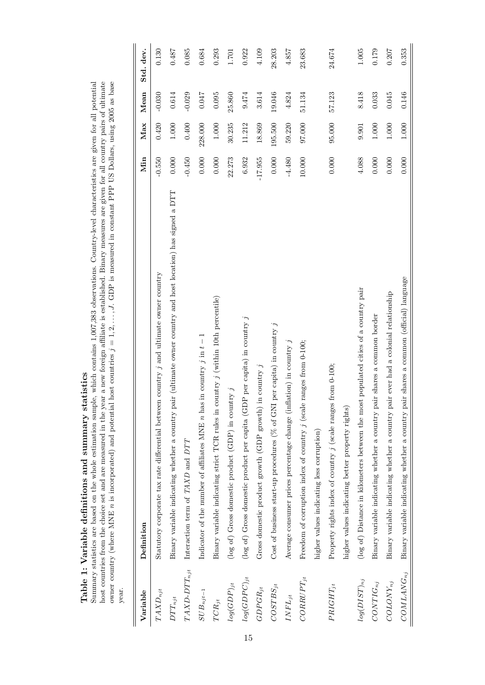| $\vdots$                        |                                                                                                                  |           |           |          |           |
|---------------------------------|------------------------------------------------------------------------------------------------------------------|-----------|-----------|----------|-----------|
| Variable                        | Definition                                                                                                       | Min       | Max       | Mean     | Std. dev. |
| $TAXD_{njt}$                    | Statutory corporate tax rate differential between country j and ultimate owner country                           | $-0.550$  | 0.420     | $-0.030$ | 0.130     |
| $DTT_{njt}$                     | pair (ultimate owner country and host location) has signed a DTT<br>Binary variable indicating whether a country | 0.000     | $1.000\,$ | 0.614    | 0.487     |
| $TAXD\text{-}DTT_{njt}$         | Interaction term of TAXD and DTT                                                                                 | $-0.450$  | 0.400     | $-0.029$ | 0.085     |
| $SUB_{n,jt-1}$                  | Indicator of the number of affiliates MNE $n$ has in country j in $t-1$                                          | 0.000     | 228.000   | 0.047    | 0.684     |
| $TCR_{jt}$                      | Binary variable indicating strict TCR rules in country j (within 10th percentile)                                | 0.000     | $1.000\,$ | 0.095    | 0.293     |
| $log(GDP)_{jt}$                 | (log of) Gross domestic product (GDP) in country $j$                                                             | 22.273    | 30.235    | 25.860   | 1.701     |
| $log(GDPC)_{jt}$                | (log of) Gross domestic product per capita (GDP per capita) in country $j$                                       | 6.932     | 11.212    | 9.474    | 0.922     |
| $GDPGR_{jt}$                    | Gross domestic product growth (GDP growth) in country $j$                                                        | $-17.955$ | 18.869    | 3.614    | 4.109     |
| $COSTBS_{jt}$                   | Cost of business start-up procedures ( $%$ of GNI per capita) in country j                                       | 0.000     | 195.500   | 19.046   | 28.203    |
| $\mathcal{I}\mathcal{NFL}_{jt}$ | Average consumer prices percentage change (inflation) in country $j$                                             | $-4.480$  | 59.220    | 4.824    | 4.857     |
| $CORUPT_{jt}$                   | Freedom of corruption index of country j (scale ranges from 0-100;                                               | 10.000    | 97.000    | 51.134   | 23.683    |
|                                 | higher values indicating less corruption)                                                                        |           |           |          |           |
| $PRIGHT_{jt}$                   | Property rights index of country j (scale ranges from 0-100;                                                     | 0.000     | 95.000    | 57.123   | 24.674    |
|                                 | higher values indicating better property rights)                                                                 |           |           |          |           |
| $log(DIST)_{nj}$                | (log of) Distance in kilometers between the most populated cities of a country pair                              | 4.088     | 9.901     | 8.418    | 1.005     |
| $CONTIG_{nj}$                   | pair shares a common border<br>Binary variable indicating whether a country                                      | 0.000     | $1.000\,$ | 0.033    | 0.179     |
| $COLONY_{nj}$                   | pair ever had a colonial relationship<br>Binary variable indicating whether a country                            | 0.000     | 1.000     | 0.045    | 0.207     |
| $COMLANG_{nj}$                  | pair shares a common (official) language<br>Binary variable indicating whether a country                         | 0.000     | $1.000\,$ | 0.146    | 0.353     |

Table 1: Variable definitions and summary statistics<br>Summary statistics are based on the whole estimation sample, which contains 1,007,383 observations. Country-level characteristics are given for all potential<br>Summary sta Table 1: Variable definitions and summary statistics

Summary statistics are based on the whole estimation sample, which contains 1,007,383 observations. Country-level characteristics are given for all potential host countries from the choice set and are measured in the year a new foreign affiliate is established. Binary measures are given for all country pairs of ultimate

host countries from the choice set and are measured in the year a new foreign affiliate is established. Binary measures are given for all country pairs of ultimate owner country (where MNE n is incorporated) and potential owner country (where MNE *n* is incorporated) and potential host countries  $j = 1, 2, \ldots, J$ . GDP is measured in constant PPP US Dollars, using 2005 as base year.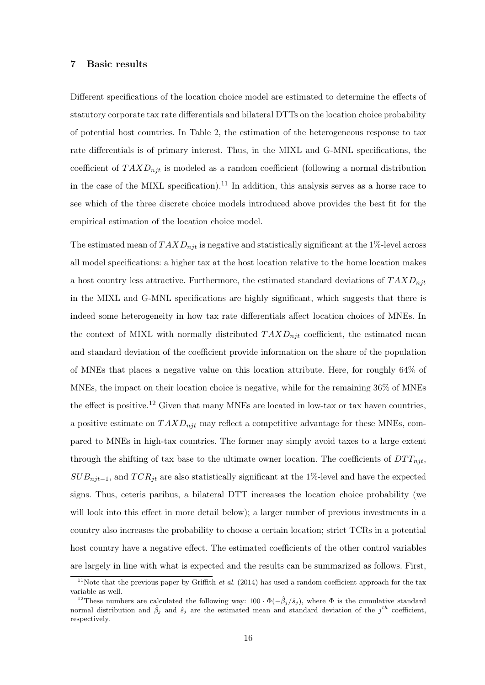#### 7 Basic results

Different specifications of the location choice model are estimated to determine the effects of statutory corporate tax rate differentials and bilateral DTTs on the location choice probability of potential host countries. In Table 2, the estimation of the heterogeneous response to tax rate differentials is of primary interest. Thus, in the MIXL and G-MNL specifications, the coefficient of  $T A X D_{nit}$  is modeled as a random coefficient (following a normal distribution in the case of the MIXL specification).<sup>11</sup> In addition, this analysis serves as a horse race to see which of the three discrete choice models introduced above provides the best fit for the empirical estimation of the location choice model.

The estimated mean of  $TAXD_{nit}$  is negative and statistically significant at the 1%-level across all model specifications: a higher tax at the host location relative to the home location makes a host country less attractive. Furthermore, the estimated standard deviations of  $TAXD_{nit}$ in the MIXL and G-MNL specifications are highly significant, which suggests that there is indeed some heterogeneity in how tax rate differentials affect location choices of MNEs. In the context of MIXL with normally distributed  $T A X D_{n<sub>i</sub> t}$  coefficient, the estimated mean and standard deviation of the coefficient provide information on the share of the population of MNEs that places a negative value on this location attribute. Here, for roughly 64% of MNEs, the impact on their location choice is negative, while for the remaining 36% of MNEs the effect is positive.<sup>12</sup> Given that many MNEs are located in low-tax or tax haven countries, a positive estimate on  $T A X D_{nif}$  may reflect a competitive advantage for these MNEs, compared to MNEs in high-tax countries. The former may simply avoid taxes to a large extent through the shifting of tax base to the ultimate owner location. The coefficients of  $DTT_{nit}$ ,  $SUB_{njt-1}$ , and  $TCR_{jt}$  are also statistically significant at the 1%-level and have the expected signs. Thus, ceteris paribus, a bilateral DTT increases the location choice probability (we will look into this effect in more detail below); a larger number of previous investments in a country also increases the probability to choose a certain location; strict TCRs in a potential host country have a negative effect. The estimated coefficients of the other control variables are largely in line with what is expected and the results can be summarized as follows. First,

<sup>&</sup>lt;sup>11</sup>Note that the previous paper by Griffith *et al.* (2014) has used a random coefficient approach for the tax variable as well.

<sup>&</sup>lt;sup>12</sup>These numbers are calculated the following way:  $100 \cdot \Phi(-\hat{\beta}_i/\hat{s}_i)$ , where  $\Phi$  is the cumulative standard normal distribution and  $\hat{\beta}_j$  and  $\hat{s}_j$  are the estimated mean and standard deviation of the  $j^{th}$  coefficient, respectively.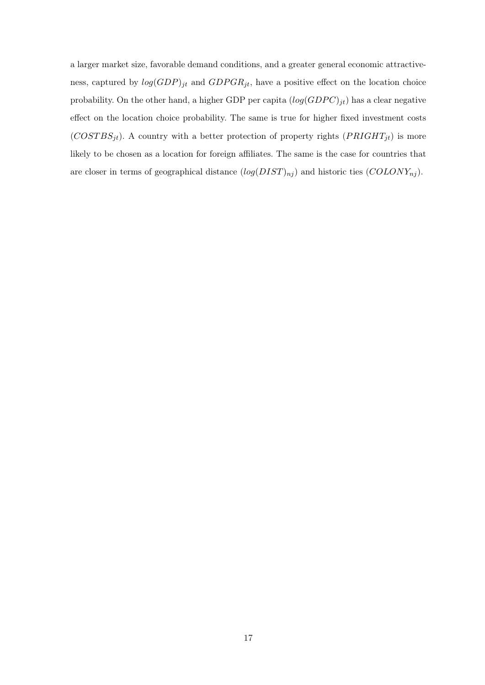a larger market size, favorable demand conditions, and a greater general economic attractiveness, captured by  $log(GDP)_{jt}$  and  $GDPGR_{jt}$ , have a positive effect on the location choice probability. On the other hand, a higher GDP per capita  $(log(GDPC)_{jt})$  has a clear negative effect on the location choice probability. The same is true for higher fixed investment costs  $(COST BS_{jt})$ . A country with a better protection of property rights  $(PRIGHT_{jt})$  is more likely to be chosen as a location for foreign affiliates. The same is the case for countries that are closer in terms of geographical distance  $(log(DIST)_{nj})$  and historic ties  $(COLDNY_{nj})$ .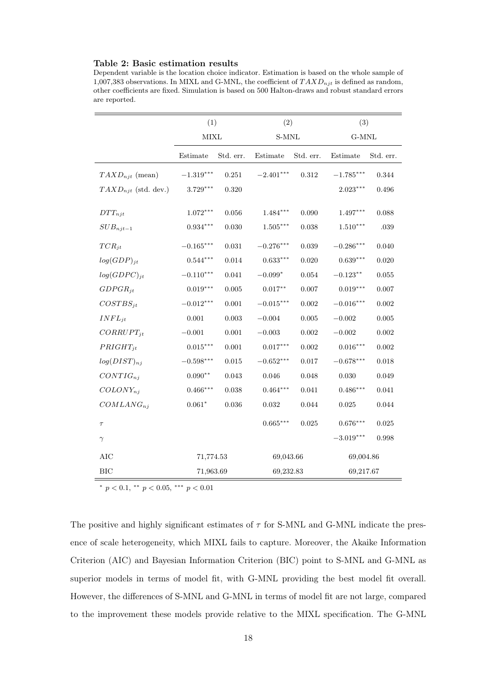#### Table 2: Basic estimation results

Dependent variable is the location choice indicator. Estimation is based on the whole sample of 1,007,383 observations. In MIXL and G-MNL, the coefficient of  $TAXD_{nit}$  is defined as random, other coefficients are fixed. Simulation is based on 500 Halton-draws and robust standard errors are reported.

|                          | (1)                    |             | (2)                    |             | (3)             |           |
|--------------------------|------------------------|-------------|------------------------|-------------|-----------------|-----------|
|                          | <b>MIXL</b>            |             | $S-MNL$                |             | $G-MNL$         |           |
|                          | Estimate               | Std. err.   | Estimate               | Std. err.   | Estimate        | Std. err. |
| $TAXD_{njt}$ (mean)      | $-1.319***$            | $0.251\,$   | $-2.401***$            | 0.312       | $-1.785***$     | 0.344     |
| $TAXD_{njt}$ (std. dev.) | $3.729***$             | 0.320       |                        |             | $2.023***$      | 0.496     |
| $DTT_{njt}$              | $1.072^{\ast\ast\ast}$ | 0.056       | $1.484^{***}\,$        | 0.090       | $1.497***$      | 0.088     |
| $SUB_{njt-1}$            | $0.934***$             | 0.030       | $1.505^{\ast\ast\ast}$ | 0.038       | $1.510***$      | $.039\,$  |
| $TCR_{jt}$               | $-0.165***$            | 0.031       | $-0.276***$            | $\,0.039\,$ | $-0.286***$     | 0.040     |
| $log(GDP)_{jt}$          | $0.544***$             | 0.014       | $0.633***$             | 0.020       | $0.639***$      | 0.020     |
| $log(GDPC)_{it}$         | $-0.110***$            | 0.041       | $-0.099^{\ast}$        | 0.054       | $-0.123**$      | 0.055     |
| $GDPGR_{jt}$             | $0.019^{***}\,$        | $0.005\,$   | $0.017^{\ast\ast}$     | $0.007\,$   | $0.019***$      | 0.007     |
| $COSTBS_{it}$            | $-0.012***$            | $0.001\,$   | $-0.015***$            | 0.002       | $-0.016***$     | 0.002     |
| $INFL_{it}$              | $0.001\,$              | $\,0.003\,$ | $-0.004$               | 0.005       | $-0.002$        | 0.005     |
| $CORRUPT_{it}$           | $-0.001$               | 0.001       | $-0.003$               | 0.002       | $-0.002$        | 0.002     |
| $PRIGHT_{it}$            | $0.015^{***}\,$        | $0.001\,$   | $0.017***$             | 0.002       | $0.016^{***}\,$ | 0.002     |
| $log(DIST)_{ni}$         | $-0.598***$            | 0.015       | $-0.652***$            | 0.017       | $-0.678***$     | 0.018     |
| $CONTIG_{ni}$            | $0.090**$              | 0.043       | 0.046                  | 0.048       | 0.030           | 0.049     |
| $COLONY_{nj}$            | $0.466***$             | 0.038       | $0.464***$             | 0.041       | $0.486***$      | 0.041     |
| $COMLANG_{nj}$           | $0.061*$               | $\,0.036\,$ | $\,0.032\,$            | 0.044       | 0.025           | 0.044     |
| $\tau$                   |                        |             | $0.665***$             | 0.025       | $0.676***$      | 0.025     |
| $\gamma$                 |                        |             |                        |             | $-3.019***$     | 0.998     |
| AIC                      | 71,774.53              |             | 69,043.66              |             | 69,004.86       |           |
| <b>BIC</b>               | 71,963.69              |             | 69,232.83              |             | 69,217.67       |           |

\*  $p < 0.1$ , \*\*  $p < 0.05$ , \*\*\*  $p < 0.01$ 

The positive and highly significant estimates of  $\tau$  for S-MNL and G-MNL indicate the presence of scale heterogeneity, which MIXL fails to capture. Moreover, the Akaike Information Criterion (AIC) and Bayesian Information Criterion (BIC) point to S-MNL and G-MNL as superior models in terms of model fit, with G-MNL providing the best model fit overall. However, the differences of S-MNL and G-MNL in terms of model fit are not large, compared to the improvement these models provide relative to the MIXL specification. The G-MNL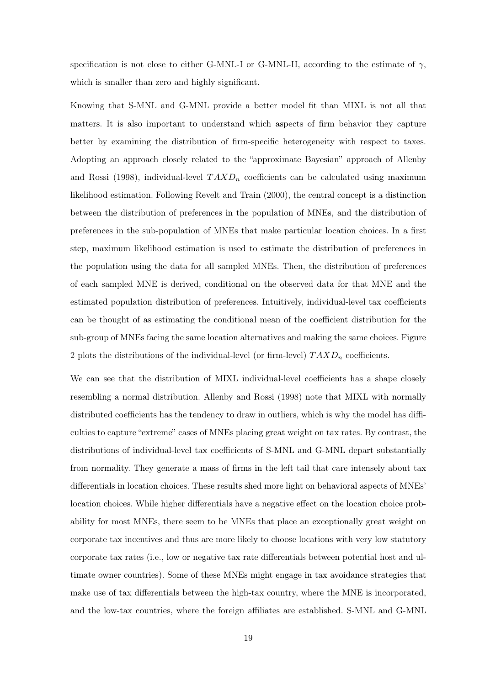specification is not close to either G-MNL-I or G-MNL-II, according to the estimate of  $\gamma$ , which is smaller than zero and highly significant.

Knowing that S-MNL and G-MNL provide a better model fit than MIXL is not all that matters. It is also important to understand which aspects of firm behavior they capture better by examining the distribution of firm-specific heterogeneity with respect to taxes. Adopting an approach closely related to the "approximate Bayesian" approach of Allenby and Rossi (1998), individual-level  $T A X D_n$  coefficients can be calculated using maximum likelihood estimation. Following Revelt and Train (2000), the central concept is a distinction between the distribution of preferences in the population of MNEs, and the distribution of preferences in the sub-population of MNEs that make particular location choices. In a first step, maximum likelihood estimation is used to estimate the distribution of preferences in the population using the data for all sampled MNEs. Then, the distribution of preferences of each sampled MNE is derived, conditional on the observed data for that MNE and the estimated population distribution of preferences. Intuitively, individual-level tax coefficients can be thought of as estimating the conditional mean of the coefficient distribution for the sub-group of MNEs facing the same location alternatives and making the same choices. Figure 2 plots the distributions of the individual-level (or firm-level)  $TAXD_n$  coefficients.

We can see that the distribution of MIXL individual-level coefficients has a shape closely resembling a normal distribution. Allenby and Rossi (1998) note that MIXL with normally distributed coefficients has the tendency to draw in outliers, which is why the model has difficulties to capture "extreme" cases of MNEs placing great weight on tax rates. By contrast, the distributions of individual-level tax coefficients of S-MNL and G-MNL depart substantially from normality. They generate a mass of firms in the left tail that care intensely about tax differentials in location choices. These results shed more light on behavioral aspects of MNEs' location choices. While higher differentials have a negative effect on the location choice probability for most MNEs, there seem to be MNEs that place an exceptionally great weight on corporate tax incentives and thus are more likely to choose locations with very low statutory corporate tax rates (i.e., low or negative tax rate differentials between potential host and ultimate owner countries). Some of these MNEs might engage in tax avoidance strategies that make use of tax differentials between the high-tax country, where the MNE is incorporated, and the low-tax countries, where the foreign affiliates are established. S-MNL and G-MNL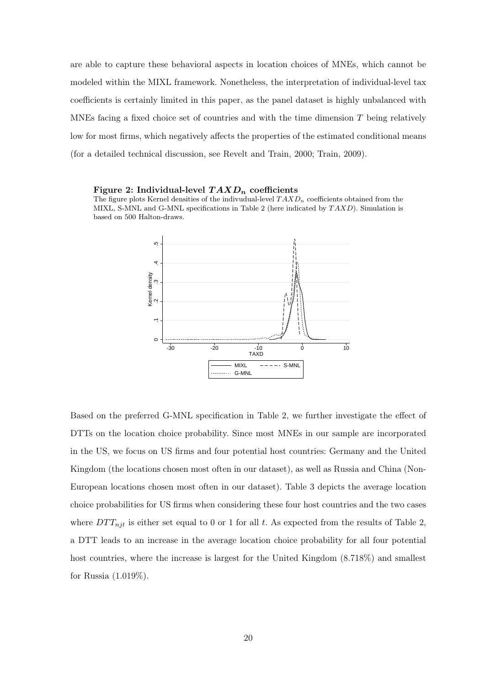are able to capture these behavioral aspects in location choices of MNEs, which cannot be modeled within the MIXL framework. Nonetheless, the interpretation of individual-level tax coefficients is certainly limited in this paper, as the panel dataset is highly unbalanced with MNEs facing a fixed choice set of countries and with the time dimension  $T$  being relatively low for most firms, which negatively affects the properties of the estimated conditional means (for a detailed technical discussion, see Revelt and Train, 2000; Train, 2009).

#### Figure 2: Individual-level  $T A X D_n$  coefficients





Based on the preferred G-MNL specification in Table 2, we further investigate the effect of DTTs on the location choice probability. Since most MNEs in our sample are incorporated in the US, we focus on US firms and four potential host countries: Germany and the United Kingdom (the locations chosen most often in our dataset), as well as Russia and China (Non-European locations chosen most often in our dataset). Table 3 depicts the average location choice probabilities for US firms when considering these four host countries and the two cases where  $DTT_{njt}$  is either set equal to 0 or 1 for all t. As expected from the results of Table 2, a DTT leads to an increase in the average location choice probability for all four potential host countries, where the increase is largest for the United Kingdom (8.718%) and smallest for Russia (1.019%).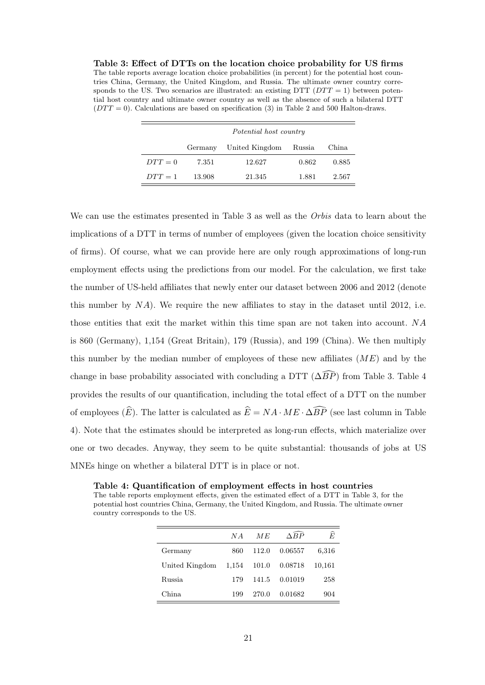Table 3: Effect of DTTs on the location choice probability for US firms The table reports average location choice probabilities (in percent) for the potential host countries China, Germany, the United Kingdom, and Russia. The ultimate owner country corresponds to the US. Two scenarios are illustrated: an existing DTT ( $DTT = 1$ ) between potential host country and ultimate owner country as well as the absence of such a bilateral DTT  $(DTT = 0)$ . Calculations are based on specification (3) in Table 2 and 500 Halton-draws.

|         | Potential host country |                |        |       |  |  |
|---------|------------------------|----------------|--------|-------|--|--|
|         | Germany                | United Kingdom | Russia | China |  |  |
| $DTT=0$ | 7.351                  | 12.627         | 0.862  | 0.885 |  |  |
| $DTT=1$ | 13.908                 | 21.345         | 1.881  | 2.567 |  |  |

We can use the estimates presented in Table 3 as well as the Orbis data to learn about the implications of a DTT in terms of number of employees (given the location choice sensitivity of firms). Of course, what we can provide here are only rough approximations of long-run employment effects using the predictions from our model. For the calculation, we first take the number of US-held affiliates that newly enter our dataset between 2006 and 2012 (denote this number by  $NA$ ). We require the new affiliates to stay in the dataset until 2012, i.e. those entities that exit the market within this time span are not taken into account. NA is 860 (Germany), 1,154 (Great Britain), 179 (Russia), and 199 (China). We then multiply this number by the median number of employees of these new affiliates  $(ME)$  and by the change in base probability associated with concluding a DTT ( $\Delta \widehat{BP}$ ) from Table 3. Table 4 provides the results of our quantification, including the total effect of a DTT on the number of employees  $(\widehat{E})$ . The latter is calculated as  $\widehat{E} = NA \cdot ME \cdot \widehat{\Delta BP}$  (see last column in Table 4). Note that the estimates should be interpreted as long-run effects, which materialize over one or two decades. Anyway, they seem to be quite substantial: thousands of jobs at US MNEs hinge on whether a bilateral DTT is in place or not.

The table reports employment effects, given the estimated effect of a DTT in Table 3, for the potential host countries China, Germany, the United Kingdom, and Russia. The ultimate owner country corresponds to the US.

Table 4: Quantification of employment effects in host countries

|                | N A   | МE    | $\triangle BP$ | Ê      |
|----------------|-------|-------|----------------|--------|
| Germany        | 860   | 112.0 | 0.06557        | 6,316  |
| United Kingdom | 1,154 | 101.0 | 0.08718        | 10,161 |
| <b>Russia</b>  | 179   | 141.5 | 0.01019        | 258    |
| China.         | 199   | 270.0 | 0.01682        | 904    |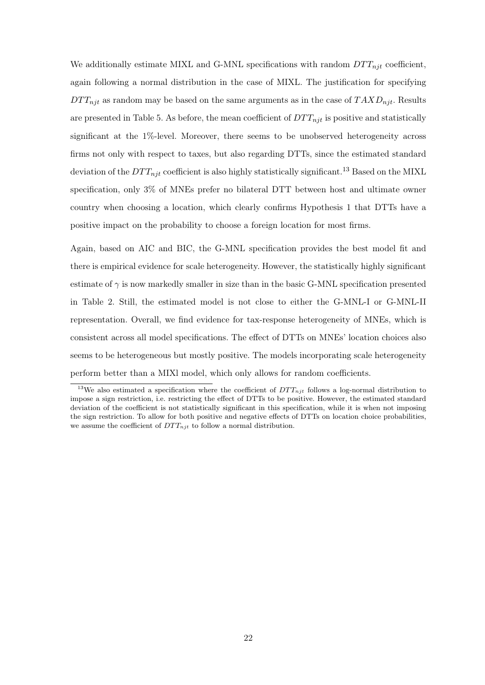We additionally estimate MIXL and G-MNL specifications with random  $DTT_{nji}$  coefficient, again following a normal distribution in the case of MIXL. The justification for specifying  $DTT_{nit}$  as random may be based on the same arguments as in the case of  $TAXD_{nit}$ . Results are presented in Table 5. As before, the mean coefficient of  $DTT_{njt}$  is positive and statistically significant at the 1%-level. Moreover, there seems to be unobserved heterogeneity across firms not only with respect to taxes, but also regarding DTTs, since the estimated standard deviation of the  $DTT_{njt}$  coefficient is also highly statistically significant.<sup>13</sup> Based on the MIXL specification, only 3% of MNEs prefer no bilateral DTT between host and ultimate owner country when choosing a location, which clearly confirms Hypothesis 1 that DTTs have a positive impact on the probability to choose a foreign location for most firms.

Again, based on AIC and BIC, the G-MNL specification provides the best model fit and there is empirical evidence for scale heterogeneity. However, the statistically highly significant estimate of  $\gamma$  is now markedly smaller in size than in the basic G-MNL specification presented in Table 2. Still, the estimated model is not close to either the G-MNL-I or G-MNL-II representation. Overall, we find evidence for tax-response heterogeneity of MNEs, which is consistent across all model specifications. The effect of DTTs on MNEs' location choices also seems to be heterogeneous but mostly positive. The models incorporating scale heterogeneity perform better than a MIXl model, which only allows for random coefficients.

<sup>&</sup>lt;sup>13</sup>We also estimated a specification where the coefficient of  $DTT_{njt}$  follows a log-normal distribution to impose a sign restriction, i.e. restricting the effect of DTTs to be positive. However, the estimated standard deviation of the coefficient is not statistically significant in this specification, while it is when not imposing the sign restriction. To allow for both positive and negative effects of DTTs on location choice probabilities, we assume the coefficient of  $DTT_{nit}$  to follow a normal distribution.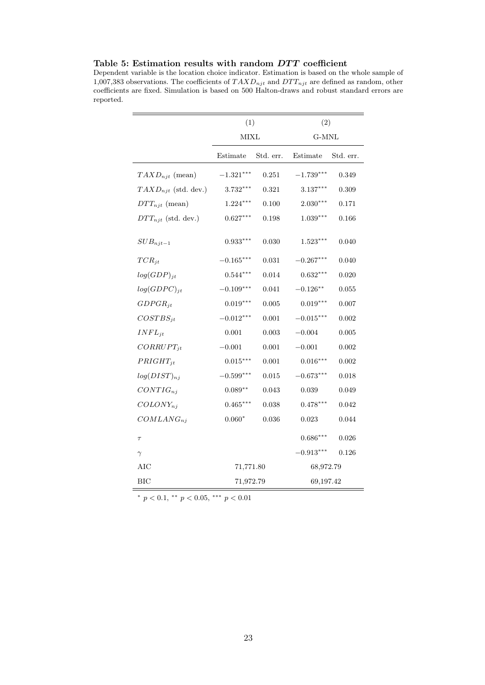|                          | (1)                |           | (2)                     |           |  |
|--------------------------|--------------------|-----------|-------------------------|-----------|--|
|                          | <b>MIXL</b>        |           | G-MNL                   |           |  |
|                          | Estimate           | Std. err. | Estimate                | Std. err. |  |
| $TAXD_{njt}$ (mean)      | $-1.321***$        | 0.251     | $-1.739***$             | 0.349     |  |
| $TAND_{nit}$ (std. dev.) | $3.732***$         | 0.321     | $3.137***$              | 0.309     |  |
| $DTT_{njt}$ (mean)       | $1.224***$         | 0.100     | $2.030***$              | 0.171     |  |
| $DTT_{njt}$ (std. dev.)  | $0.627***$         | 0.198     | $1.039***$              | 0.166     |  |
| $SUB_{njt-1}$            | $0.933***$         | 0.030     | $1.523***$              | 0.040     |  |
| $TCR_{it}$               | $-0.165***$        | 0.031     | $-0.267^{\ast\ast\ast}$ | 0.040     |  |
| $log(GDP)_{jt}$          | $0.544***$         | 0.014     | $0.632***$              | 0.020     |  |
| $log(GDPC)_{jt}$         | $-0.109***$        | 0.041     | $-0.126***$             | 0.055     |  |
| $GDPGR_{it}$             | $0.019***$         | 0.005     | $0.019***$              | 0.007     |  |
| $COSTBS_{it}$            | $-0.012***$        | 0.001     | $-0.015***$             | 0.002     |  |
| $INFL_{it}$              | 0.001              | 0.003     | $-0.004$                | 0.005     |  |
| $CORRUPT_{jt}$           | $-0.001$           | 0.001     | $-0.001$                | 0.002     |  |
| $PRIGHT_{it}$            | $0.015^{***}\,$    | 0.001     | $0.016***$              | 0.002     |  |
| $log(DIST)_{nj}$         | $-0.599***$        | 0.015     | $-0.673***$             | 0.018     |  |
| $CONTIG_{ni}$            | $0.089^{\ast\ast}$ | 0.043     | 0.039                   | 0.049     |  |
| $COLONY_{ni}$            | $0.465***$         | 0.038     | $0.478***$              | 0.042     |  |
| $COMLANG_{ni}$           | $0.060*$           | 0.036     | 0.023                   | 0.044     |  |
| $\tau$                   |                    |           | $0.686***$              | 0.026     |  |
| $\gamma$                 |                    |           | $-0.913***$             | 0.126     |  |
| AIC                      | 71,771.80          |           | 68,972.79               |           |  |
| <b>BIC</b>               | 71,972.79          |           | 69,197.42               |           |  |

Table 5: Estimation results with random  $DTT$  coefficient

Dependent variable is the location choice indicator. Estimation is based on the whole sample of 1,007,383 observations. The coefficients of  $TAXD_{njt}$  and  $DTT_{njt}$  are defined as random, other coefficients are fixed. Simulation is based on 500 Halton-draws and robust standard errors are reported.

\*  $p < 0.1$ , \*\*  $p < 0.05$ , \*\*\*  $p < 0.01$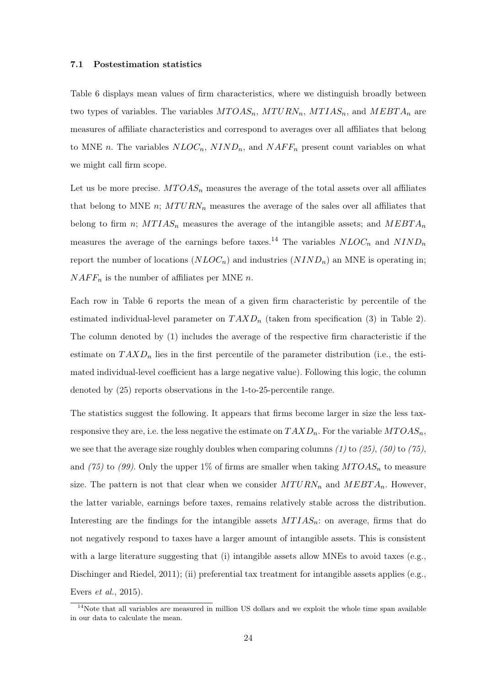#### 7.1 Postestimation statistics

Table 6 displays mean values of firm characteristics, where we distinguish broadly between two types of variables. The variables  $MTOAS_n$ ,  $MTURN_n$ ,  $MTIAS_n$ , and  $MEBTA_n$  are measures of affiliate characteristics and correspond to averages over all affiliates that belong to MNE n. The variables  $NLOC_n$ ,  $NIND_n$ , and  $NAFF_n$  present count variables on what we might call firm scope.

Let us be more precise.  $MTOAS_n$  measures the average of the total assets over all affiliates that belong to MNE n;  $MTURN_n$  measures the average of the sales over all affiliates that belong to firm n;  $MTIAS_n$  measures the average of the intangible assets; and  $MEBTA_n$ measures the average of the earnings before taxes.<sup>14</sup> The variables  $NLOC_n$  and  $NIND_n$ report the number of locations  $(NLOC_n)$  and industries  $(NIND_n)$  an MNE is operating in;  $NAFF_n$  is the number of affiliates per MNE n.

Each row in Table 6 reports the mean of a given firm characteristic by percentile of the estimated individual-level parameter on  $T A X D_n$  (taken from specification (3) in Table 2). The column denoted by (1) includes the average of the respective firm characteristic if the estimate on  $T A X D_n$  lies in the first percentile of the parameter distribution (i.e., the estimated individual-level coefficient has a large negative value). Following this logic, the column denoted by (25) reports observations in the 1-to-25-percentile range.

The statistics suggest the following. It appears that firms become larger in size the less taxresponsive they are, i.e. the less negative the estimate on  $TAXD_n$ . For the variable  $MTOAS_n$ , we see that the average size roughly doubles when comparing columns (1) to (25), (50) to (75), and (75) to (99). Only the upper 1% of firms are smaller when taking  $MTOAS_n$  to measure size. The pattern is not that clear when we consider  $MTURN_n$  and  $MEBTA_n$ . However, the latter variable, earnings before taxes, remains relatively stable across the distribution. Interesting are the findings for the intangible assets  $MTIAS_n$ : on average, firms that do not negatively respond to taxes have a larger amount of intangible assets. This is consistent with a large literature suggesting that (i) intangible assets allow MNEs to avoid taxes (e.g., Dischinger and Riedel, 2011); (ii) preferential tax treatment for intangible assets applies (e.g., Evers et al., 2015).

 $14$ Note that all variables are measured in million US dollars and we exploit the whole time span available in our data to calculate the mean.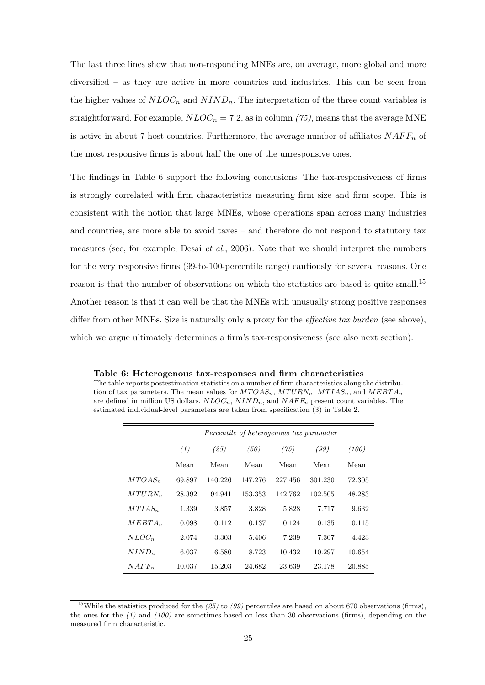The last three lines show that non-responding MNEs are, on average, more global and more diversified – as they are active in more countries and industries. This can be seen from the higher values of  $NLOC_n$  and  $NIND_n$ . The interpretation of the three count variables is straightforward. For example,  $NLOC_n = 7.2$ , as in column (75), means that the average MNE is active in about 7 host countries. Furthermore, the average number of affiliates  $NAFF_n$  of the most responsive firms is about half the one of the unresponsive ones.

The findings in Table 6 support the following conclusions. The tax-responsiveness of firms is strongly correlated with firm characteristics measuring firm size and firm scope. This is consistent with the notion that large MNEs, whose operations span across many industries and countries, are more able to avoid taxes – and therefore do not respond to statutory tax measures (see, for example, Desai et al., 2006). Note that we should interpret the numbers for the very responsive firms (99-to-100-percentile range) cautiously for several reasons. One reason is that the number of observations on which the statistics are based is quite small.<sup>15</sup> Another reason is that it can well be that the MNEs with unusually strong positive responses differ from other MNEs. Size is naturally only a proxy for the *effective tax burden* (see above), which we argue ultimately determines a firm's tax-responsiveness (see also next section).

Table 6: Heterogenous tax-responses and firm characteristics The table reports postestimation statistics on a number of firm characteristics along the distribution of tax parameters. The mean values for  $MTOAS_n$ ,  $MTURN_n$ ,  $MTIAS_n$ , and  $MEBTA_n$ are defined in million US dollars.  $NLOC_n$ ,  $NIND_n$ , and  $NAFF_n$  present count variables. The estimated individual-level parameters are taken from specification (3) in Table 2.

|                   | Percentile of heterogenous tax parameter |         |         |         |         |        |
|-------------------|------------------------------------------|---------|---------|---------|---------|--------|
|                   | (1)                                      | (25)    | (50)    | (75)    | (99)    | (100)  |
|                   | Mean                                     | Mean    | Mean    | Mean    | Mean    | Mean   |
| $MTOAS_n$         | 69.897                                   | 140.226 | 147.276 | 227.456 | 301.230 | 72.305 |
| $MTURN_n$         | 28.392                                   | 94.941  | 153.353 | 142.762 | 102.505 | 48.283 |
| $MTIAS_n$         | 1.339                                    | 3.857   | 3.828   | 5.828   | 7.717   | 9.632  |
| $MEBTA_n$         | 0.098                                    | 0.112   | 0.137   | 0.124   | 0.135   | 0.115  |
| $NLOC_n$          | 2.074                                    | 3.303   | 5.406   | 7.239   | 7.307   | 4.423  |
| NIND <sub>n</sub> | 6.037                                    | 6.580   | 8.723   | 10.432  | 10.297  | 10.654 |
| $NAFF_n$          | 10.037                                   | 15.203  | 24.682  | 23.639  | 23.178  | 20.885 |

<sup>&</sup>lt;sup>15</sup>While the statistics produced for the  $(25)$  to  $(99)$  percentiles are based on about 670 observations (firms), the ones for the  $(1)$  and  $(100)$  are sometimes based on less than 30 observations (firms), depending on the measured firm characteristic.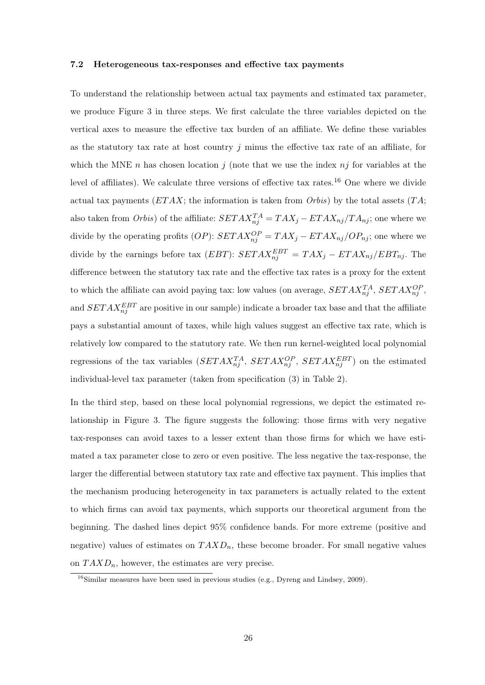#### 7.2 Heterogeneous tax-responses and effective tax payments

To understand the relationship between actual tax payments and estimated tax parameter, we produce Figure 3 in three steps. We first calculate the three variables depicted on the vertical axes to measure the effective tax burden of an affiliate. We define these variables as the statutory tax rate at host country  $j$  minus the effective tax rate of an affiliate, for which the MNE n has chosen location j (note that we use the index  $nj$  for variables at the level of affiliates). We calculate three versions of effective tax rates.<sup>16</sup> One where we divide actual tax payments  $(ETAX;$  the information is taken from  $Orbis$ ) by the total assets  $(TA;$ also taken from  $Orbis$ ) of the affiliate:  $SETAX_{nj}^{TA} = TAX_j - ETAX_{nj}/TA_{nj}$ ; one where we divide by the operating profits  $(OP)$ :  $SETAX_{nj}^{OP} = TAX_j - ETAX_{nj}/OP_{nj}$ ; one where we divide by the earnings before tax  $(EBT)$ :  $SETAX_{nj}^{EBT} = TAX_j - ETAX_{nj}/EBT_{nj}$ . The difference between the statutory tax rate and the effective tax rates is a proxy for the extent to which the affiliate can avoid paying tax: low values (on average,  $SETAX_{nj}^{TA}$ ,  $SETAX_{nj}^{OP}$ , and  $SETAX_{nj}^{EBT}$  are positive in our sample) indicate a broader tax base and that the affiliate pays a substantial amount of taxes, while high values suggest an effective tax rate, which is relatively low compared to the statutory rate. We then run kernel-weighted local polynomial regressions of the tax variables  $(SETAX_{nj}^{TA}, SETAX_{nj}^{OP}, SETAX_{nj}^{EBT})$  on the estimated individual-level tax parameter (taken from specification (3) in Table 2).

In the third step, based on these local polynomial regressions, we depict the estimated relationship in Figure 3. The figure suggests the following: those firms with very negative tax-responses can avoid taxes to a lesser extent than those firms for which we have estimated a tax parameter close to zero or even positive. The less negative the tax-response, the larger the differential between statutory tax rate and effective tax payment. This implies that the mechanism producing heterogeneity in tax parameters is actually related to the extent to which firms can avoid tax payments, which supports our theoretical argument from the beginning. The dashed lines depict 95% confidence bands. For more extreme (positive and negative) values of estimates on  $T A X D_n$ , these become broader. For small negative values on  $T A X D_n$ , however, the estimates are very precise.

 $16$ Similar measures have been used in previous studies (e.g., Dyreng and Lindsey, 2009).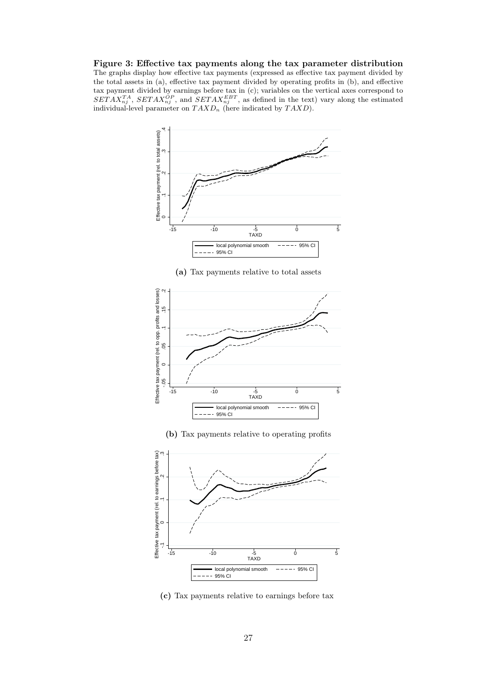Figure 3: Effective tax payments along the tax parameter distribution The graphs display how effective tax payments (expressed as effective tax payment divided by the total assets in (a), effective tax payment divided by operating profits in (b), and effective tax payment divided by earnings before tax in (c); variables on the vertical axes correspond to  $SETAX_{nj}^{TA}$ ,  $SETAX_{nj}^{OP}$ , and  $SETAX_{nj}^{EBT}$ , as defined in the text) vary along the estimated individual-level parameter on  $T A X D_n$  (here indicated by  $T A X D$ ).



(a) Tax payments relative to total assets



(b) Tax payments relative to operating profits



(c) Tax payments relative to earnings before tax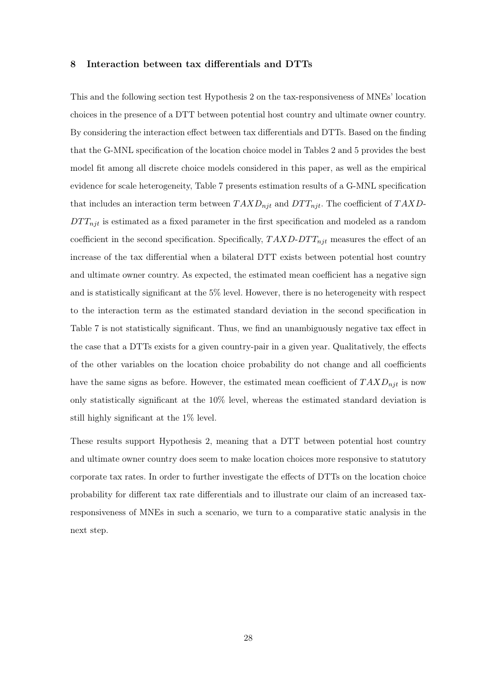#### 8 Interaction between tax differentials and DTTs

This and the following section test Hypothesis 2 on the tax-responsiveness of MNEs' location choices in the presence of a DTT between potential host country and ultimate owner country. By considering the interaction effect between tax differentials and DTTs. Based on the finding that the G-MNL specification of the location choice model in Tables 2 and 5 provides the best model fit among all discrete choice models considered in this paper, as well as the empirical evidence for scale heterogeneity, Table 7 presents estimation results of a G-MNL specification that includes an interaction term between  $T A X D_{njt}$  and  $D T T_{njt}$ . The coefficient of  $T A X D$ - $DTT_{njt}$  is estimated as a fixed parameter in the first specification and modeled as a random coefficient in the second specification. Specifically,  $TAXD-DTT_{njt}$  measures the effect of an increase of the tax differential when a bilateral DTT exists between potential host country and ultimate owner country. As expected, the estimated mean coefficient has a negative sign and is statistically significant at the 5% level. However, there is no heterogeneity with respect to the interaction term as the estimated standard deviation in the second specification in Table 7 is not statistically significant. Thus, we find an unambiguously negative tax effect in the case that a DTTs exists for a given country-pair in a given year. Qualitatively, the effects of the other variables on the location choice probability do not change and all coefficients have the same signs as before. However, the estimated mean coefficient of  $T A X D_{n j t}$  is now only statistically significant at the 10% level, whereas the estimated standard deviation is still highly significant at the 1% level.

These results support Hypothesis 2, meaning that a DTT between potential host country and ultimate owner country does seem to make location choices more responsive to statutory corporate tax rates. In order to further investigate the effects of DTTs on the location choice probability for different tax rate differentials and to illustrate our claim of an increased taxresponsiveness of MNEs in such a scenario, we turn to a comparative static analysis in the next step.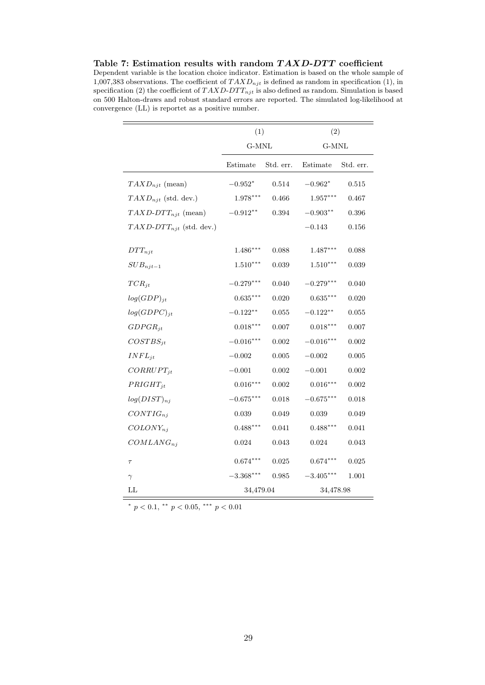Table 7: Estimation results with random  $TAXD-DTT$  coefficient Dependent variable is the location choice indicator. Estimation is based on the whole sample of 1,007,383 observations. The coefficient of  $T A X D_{nji}$  is defined as random in specification (1), in specification (2) the coefficient of  $TAXD-DTT_{njt}$  is also defined as random. Simulation is based on 500 Halton-draws and robust standard errors are reported. The simulated log-likelihood at convergence (LL) is reportet as a positive number.

|                              | (1)             |           | (2)         |             |
|------------------------------|-----------------|-----------|-------------|-------------|
|                              |                 | G-MNL     |             | G-MNL       |
|                              | Estimate        | Std. err. | Estimate    | Std. err.   |
| $TAXD_{njt}$ (mean)          | $-0.952^{\ast}$ | 0.514     | $-0.962*$   | 0.515       |
| $TAXD_{njt}$ (std. dev.)     | $1.978***$      | 0.466     | $1.957***$  | 0.467       |
| $TAXD-DTT_{njt}$ (mean)      | $-0.912**$      | 0.394     | $-0.903**$  | $0.396\,$   |
| $TAXD-DTT_{njt}$ (std. dev.) |                 |           | $-0.143$    | 0.156       |
| $DTT_{nit}$                  | $1.486***$      | 0.088     | $1.487***$  | 0.088       |
| $SUB_{njt-1}$                | $1.510***$      | 0.039     | $1.510***$  | 0.039       |
| $TCR_{it}$                   | $-0.279***$     | 0.040     | $-0.279***$ | 0.040       |
| $log(GDP)_{jt}$              | $0.635***$      | 0.020     | $0.635***$  | 0.020       |
| $log(GDPC)_{it}$             | $-0.122**$      | 0.055     | $-0.122**$  | $\,0.055\,$ |
| $GDPGR_{it}$                 | $0.018***$      | 0.007     | $0.018***$  | 0.007       |
| $COSTBS_{jt}$                | $-0.016***$     | 0.002     | $-0.016***$ | 0.002       |
| $INFL_{it}$                  | $-0.002$        | 0.005     | $-0.002$    | 0.005       |
| $CORRUPT_{it}$               | $-0.001$        | 0.002     | $-0.001$    | 0.002       |
| $PRIGHT_{jt}$                | $0.016***$      | 0.002     | $0.016***$  | 0.002       |
| $log(DIST)_{nj}$             | $-0.675***$     | 0.018     | $-0.675***$ | 0.018       |
| $CONTIG_{ni}$                | 0.039           | 0.049     | 0.039       | 0.049       |
| $COLONY_{ni}$                | $0.488***$      | 0.041     | $0.488***$  | 0.041       |
| $COMLANG_{ni}$               | 0.024           | 0.043     | 0.024       | 0.043       |
| $\tau$                       | $0.674***$      | 0.025     | $0.674***$  | 0.025       |
| $\gamma$                     | $-3.368^{***}$  | 0.985     | $-3.405***$ | 1.001       |
| $\mathbf{L}\mathbf{L}$       | 34,479.04       |           | 34,478.98   |             |

\*  $p < 0.1$ , \*\*  $p < 0.05$ , \*\*\*  $p < 0.01$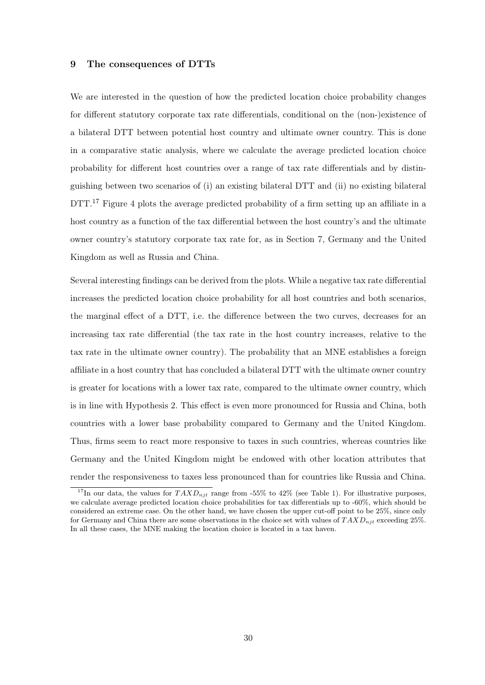#### 9 The consequences of DTTs

We are interested in the question of how the predicted location choice probability changes for different statutory corporate tax rate differentials, conditional on the (non-)existence of a bilateral DTT between potential host country and ultimate owner country. This is done in a comparative static analysis, where we calculate the average predicted location choice probability for different host countries over a range of tax rate differentials and by distinguishing between two scenarios of (i) an existing bilateral DTT and (ii) no existing bilateral DTT.<sup>17</sup> Figure 4 plots the average predicted probability of a firm setting up an affiliate in a host country as a function of the tax differential between the host country's and the ultimate owner country's statutory corporate tax rate for, as in Section 7, Germany and the United Kingdom as well as Russia and China.

Several interesting findings can be derived from the plots. While a negative tax rate differential increases the predicted location choice probability for all host countries and both scenarios, the marginal effect of a DTT, i.e. the difference between the two curves, decreases for an increasing tax rate differential (the tax rate in the host country increases, relative to the tax rate in the ultimate owner country). The probability that an MNE establishes a foreign affiliate in a host country that has concluded a bilateral DTT with the ultimate owner country is greater for locations with a lower tax rate, compared to the ultimate owner country, which is in line with Hypothesis 2. This effect is even more pronounced for Russia and China, both countries with a lower base probability compared to Germany and the United Kingdom. Thus, firms seem to react more responsive to taxes in such countries, whereas countries like Germany and the United Kingdom might be endowed with other location attributes that render the responsiveness to taxes less pronounced than for countries like Russia and China.

<sup>&</sup>lt;sup>17</sup>In our data, the values for  $T A X D_{n<sub>i</sub> t}$  range from -55% to 42% (see Table 1). For illustrative purposes, we calculate average predicted location choice probabilities for tax differentials up to -60%, which should be considered an extreme case. On the other hand, we have chosen the upper cut-off point to be 25%, since only for Germany and China there are some observations in the choice set with values of  $T A X D_{njt}$  exceeding 25%. In all these cases, the MNE making the location choice is located in a tax haven.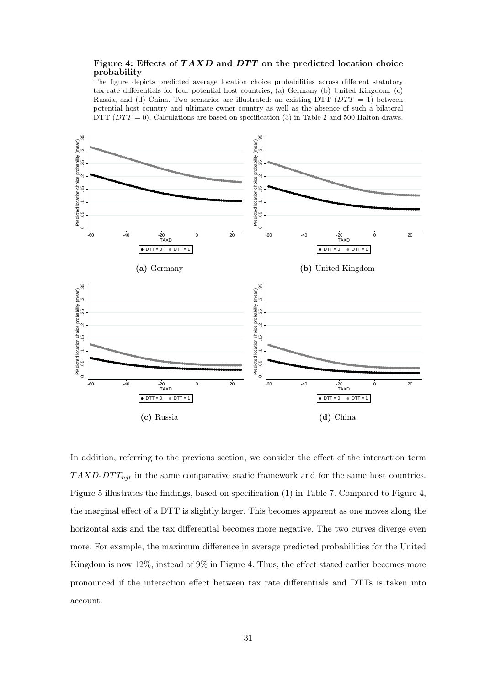### Figure 4: Effects of  $TAXD$  and  $DTT$  on the predicted location choice probability

The figure depicts predicted average location choice probabilities across different statutory tax rate differentials for four potential host countries, (a) Germany (b) United Kingdom, (c) Russia, and (d) China. Two scenarios are illustrated: an existing DTT ( $DTT = 1$ ) between potential host country and ultimate owner country as well as the absence of such a bilateral DTT ( $DTT = 0$ ). Calculations are based on specification (3) in Table 2 and 500 Halton-draws.



In addition, referring to the previous section, we consider the effect of the interaction term  $TAXD-DTT_{nit}$  in the same comparative static framework and for the same host countries. Figure 5 illustrates the findings, based on specification (1) in Table 7. Compared to Figure 4, the marginal effect of a DTT is slightly larger. This becomes apparent as one moves along the horizontal axis and the tax differential becomes more negative. The two curves diverge even more. For example, the maximum difference in average predicted probabilities for the United Kingdom is now 12%, instead of 9% in Figure 4. Thus, the effect stated earlier becomes more pronounced if the interaction effect between tax rate differentials and DTTs is taken into account.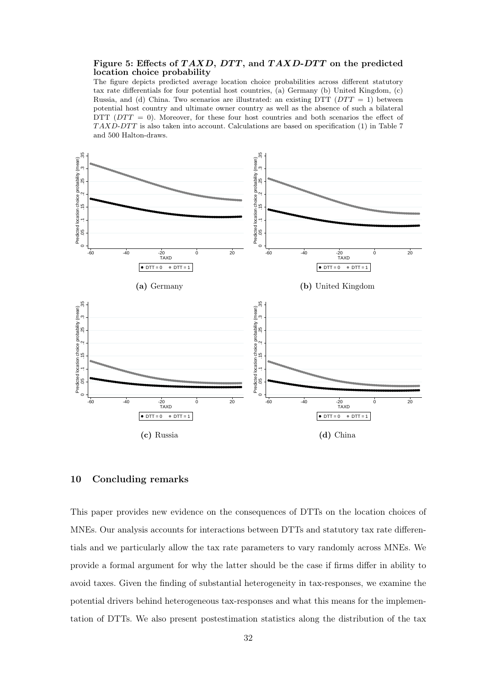#### Figure 5: Effects of  $TAXD$ ,  $DTT$ , and  $TAXD-DTT$  on the predicted location choice probability

The figure depicts predicted average location choice probabilities across different statutory tax rate differentials for four potential host countries, (a) Germany (b) United Kingdom, (c) Russia, and (d) China. Two scenarios are illustrated: an existing DTT ( $DTT = 1$ ) between potential host country and ultimate owner country as well as the absence of such a bilateral DTT  $(DTT = 0)$ . Moreover, for these four host countries and both scenarios the effect of  $TAXD-DTT$  is also taken into account. Calculations are based on specification (1) in Table 7 and 500 Halton-draws.



# 10 Concluding remarks

This paper provides new evidence on the consequences of DTTs on the location choices of MNEs. Our analysis accounts for interactions between DTTs and statutory tax rate differentials and we particularly allow the tax rate parameters to vary randomly across MNEs. We provide a formal argument for why the latter should be the case if firms differ in ability to avoid taxes. Given the finding of substantial heterogeneity in tax-responses, we examine the potential drivers behind heterogeneous tax-responses and what this means for the implementation of DTTs. We also present postestimation statistics along the distribution of the tax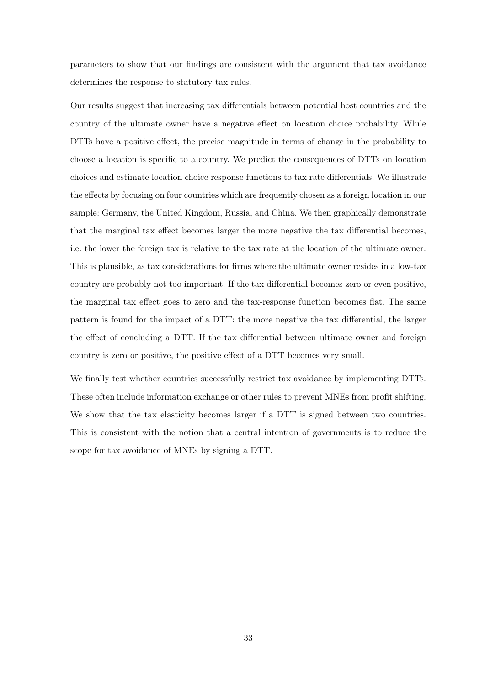parameters to show that our findings are consistent with the argument that tax avoidance determines the response to statutory tax rules.

Our results suggest that increasing tax differentials between potential host countries and the country of the ultimate owner have a negative effect on location choice probability. While DTTs have a positive effect, the precise magnitude in terms of change in the probability to choose a location is specific to a country. We predict the consequences of DTTs on location choices and estimate location choice response functions to tax rate differentials. We illustrate the effects by focusing on four countries which are frequently chosen as a foreign location in our sample: Germany, the United Kingdom, Russia, and China. We then graphically demonstrate that the marginal tax effect becomes larger the more negative the tax differential becomes, i.e. the lower the foreign tax is relative to the tax rate at the location of the ultimate owner. This is plausible, as tax considerations for firms where the ultimate owner resides in a low-tax country are probably not too important. If the tax differential becomes zero or even positive, the marginal tax effect goes to zero and the tax-response function becomes flat. The same pattern is found for the impact of a DTT: the more negative the tax differential, the larger the effect of concluding a DTT. If the tax differential between ultimate owner and foreign country is zero or positive, the positive effect of a DTT becomes very small.

We finally test whether countries successfully restrict tax avoidance by implementing DTTs. These often include information exchange or other rules to prevent MNEs from profit shifting. We show that the tax elasticity becomes larger if a DTT is signed between two countries. This is consistent with the notion that a central intention of governments is to reduce the scope for tax avoidance of MNEs by signing a DTT.

33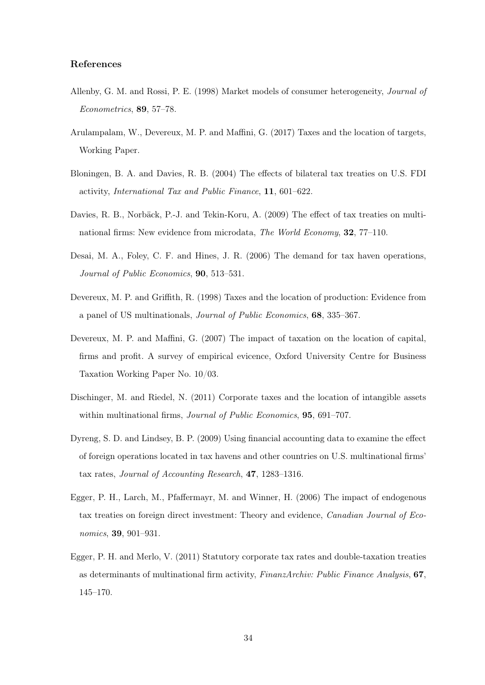#### References

- Allenby, G. M. and Rossi, P. E. (1998) Market models of consumer heterogeneity, Journal of Econometrics, 89, 57–78.
- Arulampalam, W., Devereux, M. P. and Maffini, G. (2017) Taxes and the location of targets, Working Paper.
- Bloningen, B. A. and Davies, R. B. (2004) The effects of bilateral tax treaties on U.S. FDI activity, International Tax and Public Finance, 11, 601–622.
- Davies, R. B., Norbäck, P.-J. and Tekin-Koru, A. (2009) The effect of tax treaties on multinational firms: New evidence from microdata, The World Economy, 32, 77–110.
- Desai, M. A., Foley, C. F. and Hines, J. R. (2006) The demand for tax haven operations, Journal of Public Economics, 90, 513–531.
- Devereux, M. P. and Griffith, R. (1998) Taxes and the location of production: Evidence from a panel of US multinationals, Journal of Public Economics, 68, 335–367.
- Devereux, M. P. and Maffini, G. (2007) The impact of taxation on the location of capital, firms and profit. A survey of empirical evicence, Oxford University Centre for Business Taxation Working Paper No. 10/03.
- Dischinger, M. and Riedel, N. (2011) Corporate taxes and the location of intangible assets within multinational firms, *Journal of Public Economics*, **95**, 691–707.
- Dyreng, S. D. and Lindsey, B. P. (2009) Using financial accounting data to examine the effect of foreign operations located in tax havens and other countries on U.S. multinational firms' tax rates, Journal of Accounting Research, 47, 1283–1316.
- Egger, P. H., Larch, M., Pfaffermayr, M. and Winner, H. (2006) The impact of endogenous tax treaties on foreign direct investment: Theory and evidence, Canadian Journal of Economics, 39, 901–931.
- Egger, P. H. and Merlo, V. (2011) Statutory corporate tax rates and double-taxation treaties as determinants of multinational firm activity, FinanzArchiv: Public Finance Analysis, 67, 145–170.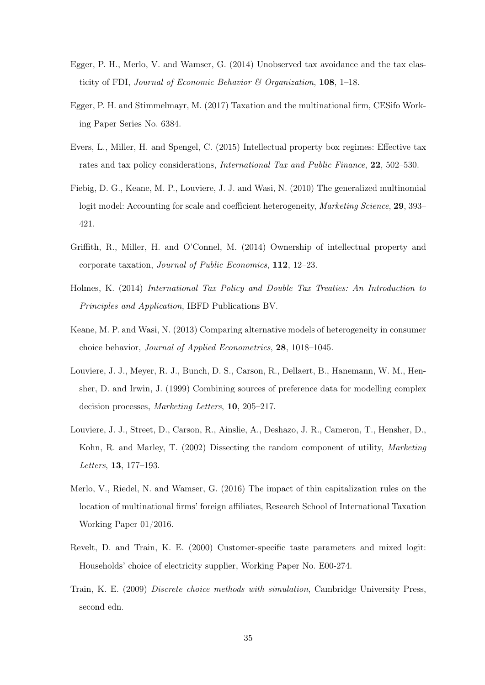- Egger, P. H., Merlo, V. and Wamser, G. (2014) Unobserved tax avoidance and the tax elasticity of FDI, Journal of Economic Behavior  $\mathcal C$  Organization, 108, 1–18.
- Egger, P. H. and Stimmelmayr, M. (2017) Taxation and the multinational firm, CESifo Working Paper Series No. 6384.
- Evers, L., Miller, H. and Spengel, C. (2015) Intellectual property box regimes: Effective tax rates and tax policy considerations, *International Tax and Public Finance*, 22, 502–530.
- Fiebig, D. G., Keane, M. P., Louviere, J. J. and Wasi, N. (2010) The generalized multinomial logit model: Accounting for scale and coefficient heterogeneity, Marketing Science, 29, 393– 421.
- Griffith, R., Miller, H. and O'Connel, M. (2014) Ownership of intellectual property and corporate taxation, Journal of Public Economics, 112, 12–23.
- Holmes, K. (2014) International Tax Policy and Double Tax Treaties: An Introduction to Principles and Application, IBFD Publications BV.
- Keane, M. P. and Wasi, N. (2013) Comparing alternative models of heterogeneity in consumer choice behavior, Journal of Applied Econometrics, 28, 1018–1045.
- Louviere, J. J., Meyer, R. J., Bunch, D. S., Carson, R., Dellaert, B., Hanemann, W. M., Hensher, D. and Irwin, J. (1999) Combining sources of preference data for modelling complex decision processes, Marketing Letters, 10, 205–217.
- Louviere, J. J., Street, D., Carson, R., Ainslie, A., Deshazo, J. R., Cameron, T., Hensher, D., Kohn, R. and Marley, T. (2002) Dissecting the random component of utility, *Marketing* Letters, 13, 177–193.
- Merlo, V., Riedel, N. and Wamser, G. (2016) The impact of thin capitalization rules on the location of multinational firms' foreign affiliates, Research School of International Taxation Working Paper 01/2016.
- Revelt, D. and Train, K. E. (2000) Customer-specific taste parameters and mixed logit: Households' choice of electricity supplier, Working Paper No. E00-274.
- Train, K. E. (2009) Discrete choice methods with simulation, Cambridge University Press, second edn.